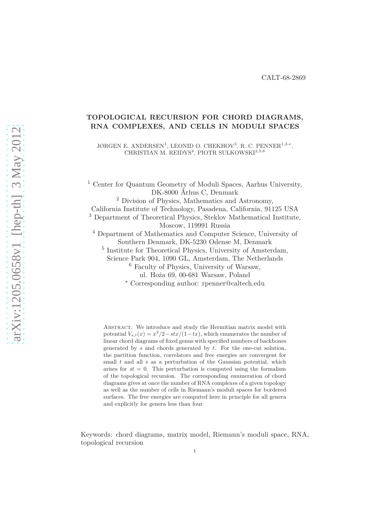# **TOPOLOGICAL RECURSION FOR CHORD DIAGRAMS, RNA COMPLEXES, AND CELLS IN MODULI SPACES**

JØRGEN E. ANDERSEN<sup>1</sup>, LEONID O. CHEKHOV<sup>3</sup>, R. C. PENNER<sup>1,2,\*</sup>, CHRISTIAN M. REIDYS<sup>4</sup>, PIOTR SUŁKOWSKI<sup>2,5,6</sup>

<sup>1</sup> Center for Quantum Geometry of Moduli Spaces, Aarhus University, DK-8000 Århus C, Denmark

<sup>2</sup> Division of Physics, Mathematics and Astronomy,

California Institute of Technology, Pasadena, California, 91125 USA

<sup>3</sup> Department of Theoretical Physics, Steklov Mathematical Institute, Moscow, 119991 Russia

<sup>4</sup> Department of Mathematics and Computer Science, University of Southern Denmark, DK-5230 Odense M, Denmark

5 Institute for Theoretical Physics, University of Amsterdam,

Science Park 904, 1090 GL, Amsterdam, The Netherlands

<sup>6</sup> Faculty of Physics, University of Warsaw,

ul. Hoża 69, 00-681 Warsaw, Poland

*<sup>⋆</sup>* Corresponding author: rpenner@caltech.edu

ABSTRACT. We introduce and study the Hermitian matrix model with potential  $V_{s,t}(x) = x^2/2 - stx/(1 - tx)$ , which enumerates the number of linear chord diagrams of fixed genus with specified numbers of backbones generated by *s* and chords generated by *t*. For the one-cut solution, the partition function, correlators and free energies are convergent for small *t* and all *s* as a perturbation of the Gaussian potential, which arises for  $st = 0$ . This perturbation is computed using the formalism of the topological recursion. The corresponding enumeration of chord diagrams gives at once the number of RNA complexes of a given topology as well as the number of cells in Riemann's moduli spaces for bordered surfaces. The free energies are computed here in principle for all genera and explicitly for genera less than four.

Keywords: chord diagrams, matrix model, Riemann's moduli space, RNA, topological recursion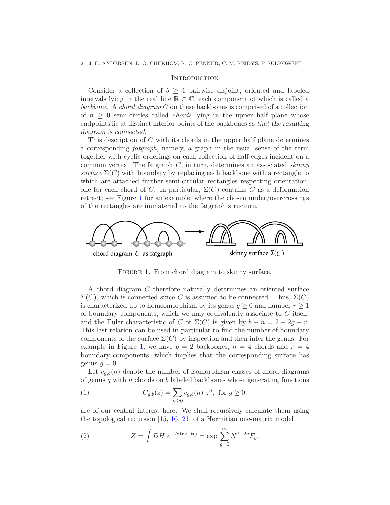### **INTRODUCTION**

Consider a collection of  $b \geq 1$  pairwise disjoint, oriented and labeled intervals lying in the real line  $\mathbb{R} \subset \mathbb{C}$ , each component of which is called a *backbone*. A *chord diagram C* on these backbones is comprised of a collection of  $n \geq 0$  semi-circles called *chords* lying in the upper half plane whose endpoints lie at distinct interior points of the backbones so that the resulting diagram is connected.

This description of *C* with its chords in the upper half plane determines a corresponding *fatgraph*, namely, a graph in the usual sense of the term together with cyclic orderings on each collection of half-edges incident on a common vertex. The fatgraph *C*, in turn, determines an associated *skinny*  $surface \Sigma(C)$  with boundary by replacing each backbone with a rectangle to which are attached further semi-circular rectangles respecting orientation, one for each chord of *C*. In particular,  $\Sigma(C)$  contains *C* as a deformation retract; see Figure [1](#page-1-0) for an example, where the chosen under/overcrossings of the rectangles are immaterial to the fatgraph structure.



<span id="page-1-0"></span>FIGURE 1. From chord diagram to skinny surface.

A chord diagram *C* therefore naturally determines an oriented surface  $\Sigma$ (*C*), which is connected since *C* is assumed to be connected. Thus,  $\Sigma$ (*C*) is characterized up to homeomorphism by its genus  $q \geq 0$  and number  $r \geq 1$ of boundary components, which we may equivalently associate to *C* itself, and the Euler characteristic of *C* or  $\Sigma(C)$  is given by  $b - n = 2 - 2g - r$ . This last relation can be used in particular to find the number of boundary components of the surface  $\Sigma(C)$  by inspection and then infer the genus. For example in Figure [1,](#page-1-0) we have  $b = 2$  backbones,  $n = 4$  chords and  $r = 4$ boundary components, which implies that the corresponding surface has genus  $q=0$ .

Let  $c_{q,b}(n)$  denote the number of isomorphism classes of chord diagrams of genus *g* with *n* chords on *b* labeled backbones whose generating functions

(1) 
$$
C_{g,b}(z) = \sum_{n\geq 0} c_{g,b}(n) z^n, \text{ for } g \geq 0,
$$

are of our central interest here. We shall recursively calculate them using the topological recursion  $[15, 16, 21]$  $[15, 16, 21]$  $[15, 16, 21]$  $[15, 16, 21]$  of a Hermitian one-matrix model

<span id="page-1-1"></span>(2) 
$$
Z = \int DH \ e^{-N \text{tr} V(H)} = \exp \sum_{g=0}^{\infty} N^{2-2g} F_g,
$$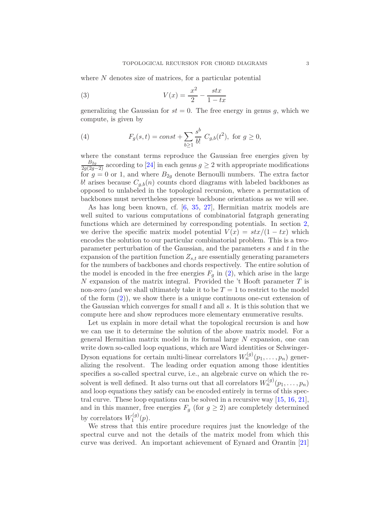where N denotes size of matrices, for a particular potential

<span id="page-2-0"></span>
$$
(3) \t\t V(x) = \frac{x^2}{2} - \frac{stx}{1 - tx}
$$

generalizing the Gaussian for  $st = 0$ . The free energy in genus q, which we compute, is given by

(4) 
$$
F_g(s,t) = const + \sum_{b \ge 1} \frac{s^b}{b!} C_{g,b}(t^2), \text{ for } g \ge 0,
$$

where the constant terms reproduce the Gaussian free energies given by  $\frac{B_{2g}}{2g(2g-2)}$  according to [\[24\]](#page-32-3) in each genus  $g \geq 2$  with appropriate modifications for  $g = 0$  or 1, and where  $B_{2g}$  denote Bernoulli numbers. The extra factor *b*! arises because  $C_{q,b}(n)$  counts chord diagrams with labeled backbones as opposed to unlabeled in the topological recursion, where a permutation of backbones must nevertheless preserve backbone orientations as we will see.

As has long been known, cf. [\[6,](#page-32-4) [35,](#page-33-0) [27\]](#page-33-1), Hermitian matrix models are well suited to various computations of combinatorial fatgraph generating functions which are determined by corresponding potentials. In section [2,](#page-14-0) we derive the specific matrix model potential  $V(x) = \frac{stx}{1 - tx}$  which encodes the solution to our particular combinatorial problem. This is a twoparameter perturbation of the Gaussian, and the parameters *s* and *t* in the expansion of the partition function  $Z_{s,t}$  are essentially generating parameters for the numbers of backbones and chords respectively. The entire solution of the model is encoded in the free energies  $F_q$  in  $(2)$ , which arise in the large *N* expansion of the matrix integral. Provided the 't Hooft parameter *T* is non-zero (and we shall ultimately take it to be  $T = 1$  to restrict to the model of the form  $(2)$ , we show there is a unique continuous one-cut extension of the Gaussian which converges for small *t* and all *s*. It is this solution that we compute here and show reproduces more elementary enumerative results.

Let us explain in more detail what the topological recursion is and how we can use it to determine the solution of the above matrix model. For a general Hermitian matrix model in its formal large *N* expansion, one can write down so-called loop equations, which are Ward identities or Schwinger-Dyson equations for certain multi-linear correlators  $W_n^{(g)}(p_1, \ldots, p_n)$  generalizing the resolvent. The leading order equation among those identities specifies a so-called spectral curve, i.e., an algebraic curve on which the resolvent is well defined. It also turns out that all correlators  $W_n^{(g)}(p_1, \ldots, p_n)$ and loop equations they satisfy can be encoded entirely in terms of this spectral curve. These loop equations can be solved in a recursive way [\[15,](#page-32-0) [16,](#page-32-1) [21\]](#page-32-2), and in this manner, free energies  $F_g$  (for  $g \geq 2$ ) are completely determined by correlators  $W_1^{(g)}$  $T_1^{(g)}(p).$ 

We stress that this entire procedure requires just the knowledge of the spectral curve and not the details of the matrix model from which this curve was derived. An important achievement of Eynard and Orantin [\[21\]](#page-32-2)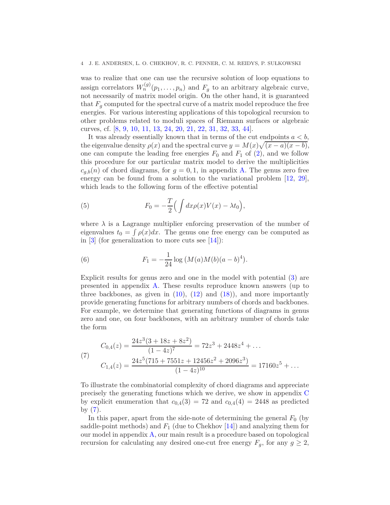was to realize that one can use the recursive solution of loop equations to assign correlators  $W_n^{(g)}(p_1, \ldots, p_n)$  and  $F_g$  to an arbitrary algebraic curve, not necessarily of matrix model origin. On the other hand, it is guaranteed that  $F_g$  computed for the spectral curve of a matrix model reproduce the free energies. For various interesting applications of this topological recursion to other problems related to moduli spaces of Riemann surfaces or algebraic curves, cf. [\[8,](#page-32-5) [9,](#page-32-6) [10,](#page-32-7) [11,](#page-32-8) [13,](#page-32-9) [24,](#page-32-3) [20,](#page-32-10) [21,](#page-32-2) [22,](#page-32-11) [31,](#page-33-2) [32,](#page-33-3) [33,](#page-33-4) [44\]](#page-33-5).

It was already essentially known that in terms of the cut endpoints  $a < b$ , the eigenvalue density  $\rho(x)$  and the spectral curve  $y = M(x)\sqrt{(x-a)(x-b)}$ , one can compute the leading free energies  $F_0$  and  $F_1$  of  $(2)$ , and we follow this procedure for our particular matrix model to derive the multiplicities  $c_{g,b}(n)$  of chord diagrams, for  $g = 0, 1$ , in appendix [A.](#page-27-0) The genus zero free energy can be found from a solution to the variational problem  $[12, 29]$  $[12, 29]$ , which leads to the following form of the effective potential

<span id="page-3-1"></span>(5) 
$$
F_0 = -\frac{T}{2} \Big( \int dx \rho(x) V(x) - \lambda t_0 \Big),
$$

where  $\lambda$  is a Lagrange multiplier enforcing preservation of the number of eigenvalues  $t_0 = \int \rho(x) dx$ . The genus one free energy can be computed as in  $[3]$  (for generalization to more cuts see  $[14]$ ):

<span id="page-3-2"></span>(6) 
$$
F_1 = -\frac{1}{24} \log \left( M(a)M(b)(a-b)^4 \right).
$$

Explicit results for genus zero and one in the model with potential [\(3\)](#page-2-0) are presented in appendix [A.](#page-27-0) These results reproduce known answers (up to three backbones, as given in  $(10)$ ,  $(12)$  and  $(18)$ ), and more importantly provide generating functions for arbitrary numbers of chords and backbones. For example, we determine that generating functions of diagrams in genus zero and one, on four backbones, with an arbitrary number of chords take the form

<span id="page-3-0"></span>(7)  
\n
$$
C_{0,4}(z) = \frac{24z^3(3+18z+8z^2)}{(1-4z)^7} = 72z^3 + 2448z^4 + \dots
$$
\n
$$
C_{1,4}(z) = \frac{24z^5(715+7551z+12456z^2+2096z^3)}{(1-4z)^{10}} = 17160z^5 + \dots
$$

To illustrate the combinatorial complexity of chord diagrams and appreciate precisely the generating functions which we derive, we show in appendix [C](#page-29-0) by explicit enumeration that  $c_{0,4}(3) = 72$  and  $c_{0,4}(4) = 2448$  as predicted by  $(7)$ .

In this paper, apart from the side-note of determining the general  $F_0$  (by saddle-point methods) and  $F_1$  (due to Chekhov [\[14\]](#page-32-14)) and analyzing them for our model in appendix [A,](#page-27-0) our main result is a procedure based on topological recursion for calculating any desired one-cut free energy  $F_g$ , for any  $g \geq 2$ ,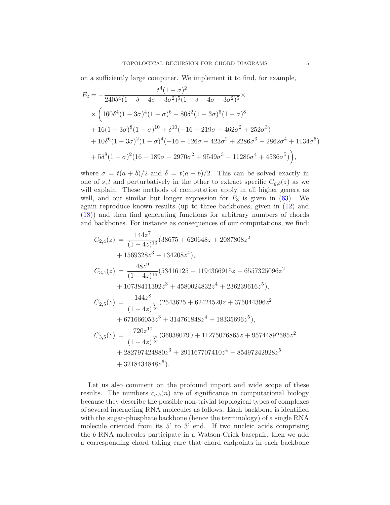on a sufficiently large computer. We implement it to find, for example,

$$
F_2 = -\frac{t^4(1-\sigma)^2}{240\delta^4(1-\delta-4\sigma+3\sigma^2)^5(1+\delta-4\sigma+3\sigma^2)^5} \times
$$
  
\$\times \left(160\delta^4(1-3\sigma)^4(1-\sigma)^6-80\delta^2(1-3\sigma)^6(1-\sigma)^8\$  
\$+16(1-3\sigma)^8(1-\sigma)^{10}+\delta^{10}(-16+219\sigma-462\sigma^2+252\sigma^3)\$  
\$+10\delta^6(1-3\sigma)^2(1-\sigma)^4(-16-126\sigma-423\sigma^2+2286\sigma^3-2862\sigma^4+1134\sigma^5)\$  
\$+5\delta^8(1-\sigma)^2(16+189\sigma-2970\sigma^2+9549\sigma^3-11286\sigma^4+4536\sigma^5)\right),\$

where  $\sigma = t(a + b)/2$  and  $\delta = t(a - b)/2$ . This can be solved exactly in one of *s, t* and perturbatively in the other to extract specific  $C_{q,b}(z)$  as we will explain. These methods of computation apply in all higher genera as well, and our similar but longer expression for  $F_3$  is given in  $(63)$ . We again reproduce known results (up to three backbones, given in [\(12\)](#page-9-0) and [\(18\)](#page-12-0)) and then find generating functions for arbitrary numbers of chords and backbones. For instance as consequences of our computations, we find:

$$
C_{2,4}(z) = \frac{144z^{7}}{(1-4z)^{13}}(38675 + 620648z + 2087808z^{2}
$$
  
+ 1569328z<sup>3</sup> + 134208z<sup>4</sup>),  
\n
$$
C_{3,4}(z) = \frac{48z^{9}}{(1-4z)^{16}}(53416125 + 1194366915z + 6557325096z^{2}
$$
  
+ 10738411392z<sup>3</sup> + 4580024832z<sup>4</sup> + 236239616z<sup>5</sup>),  
\n
$$
C_{2,5}(z) = \frac{144z^{8}}{(1-4z)^{\frac{31}{2}}} (2543625 + 62424520z + 375044396z^{2}
$$
  
+ 671666053z<sup>3</sup> + 314761848z<sup>4</sup> + 18335696z<sup>5</sup>),  
\n
$$
C_{3,5}(z) = \frac{720z^{10}}{(1-4z)^{\frac{37}{2}}} (360380790 + 11275076865z + 95744892585z^{2}
$$
  
+ 282797424880z<sup>3</sup> + 291167707410z<sup>4</sup> + 85497242928z<sup>5</sup>  
+ 3218434848z<sup>6</sup>).

Let us also comment on the profound import and wide scope of these results. The numbers  $c_{q,b}(n)$  are of significance in computational biology because they describe the possible non-trivial topological types of complexes of several interacting RNA molecules as follows. Each backbone is identified with the sugar-phosphate backbone (hence the terminology) of a single RNA molecule oriented from its 5' to 3' end. If two nucleic acids comprising the *b* RNA molecules participate in a Watson-Crick basepair, then we add a corresponding chord taking care that chord endpoints in each backbone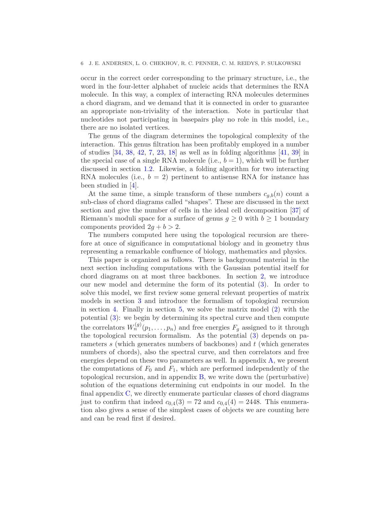occur in the correct order corresponding to the primary structure, i.e., the word in the four-letter alphabet of nucleic acids that determines the RNA molecule. In this way, a complex of interacting RNA molecules determines a chord diagram, and we demand that it is connected in order to guarantee an appropriate non-triviality of the interaction. Note in particular that nucleotides not participating in basepairs play no role in this model, i.e., there are no isolated vertices.

The genus of the diagram determines the topological complexity of the interaction. This genus filtration has been profitably employed in a number of studies [\[34,](#page-33-7) [38,](#page-33-8) [42,](#page-33-9) [7,](#page-32-15) [23,](#page-32-16) [18\]](#page-32-17) as well as in folding algorithms [\[41,](#page-33-10) [39\]](#page-33-11) in the special case of a single RNA molecule (i.e.,  $b = 1$ ), which will be further discussed in section [1.2.](#page-8-0) Likewise, a folding algorithm for two interacting RNA molecules (i.e.,  $b = 2$ ) pertinent to antisense RNA for instance has been studied in [\[4\]](#page-32-18).

At the same time, a simple transform of these numbers  $c_{q,b}(n)$  count a sub-class of chord diagrams called "shapes". These are discussed in the next section and give the number of cells in the ideal cell decomposition [\[37\]](#page-33-12) of Riemann's moduli space for a surface of genus  $g \geq 0$  with  $b \geq 1$  boundary components provided  $2g + b > 2$ .

The numbers computed here using the topological recursion are therefore at once of significance in computational biology and in geometry thus representing a remarkable confluence of biology, mathematics and physics.

This paper is organized as follows. There is background material in the next section including computations with the Gaussian potential itself for chord diagrams on at most three backbones. In section [2,](#page-14-0) we introduce our new model and determine the form of its potential [\(3\)](#page-2-0). In order to solve this model, we first review some general relevant properties of matrix models in section [3](#page-15-0) and introduce the formalism of topological recursion in section [4.](#page-17-0) Finally in section [5,](#page-20-0) we solve the matrix model [\(2\)](#page-1-1) with the potential [\(3\)](#page-2-0): we begin by determining its spectral curve and then compute the correlators  $W_n^{(g)}(p_1, \ldots, p_n)$  and free energies  $F_g$  assigned to it through the topological recursion formalism. As the potential [\(3\)](#page-2-0) depends on parameters *s* (which generates numbers of backbones) and *t* (which generates numbers of chords), also the spectral curve, and then correlators and free energies depend on these two parameters as well. In appendix  $A$ , we present the computations of  $F_0$  and  $F_1$ , which are performed independently of the topological recursion, and in appendix [B,](#page-29-1) we write down the (perturbative) solution of the equations determining cut endpoints in our model. In the final appendix [C,](#page-29-0) we directly enumerate particular classes of chord diagrams just to confirm that indeed  $c_{0,4}(3) = 72$  and  $c_{0,4}(4) = 2448$ . This enumeration also gives a sense of the simplest cases of objects we are counting here and can be read first if desired.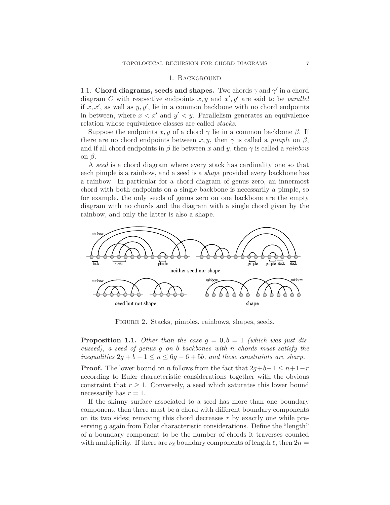## 1. Background

1.1. **Chord diagrams, seeds and shapes.** Two chords  $\gamma$  and  $\gamma'$  in a chord diagram *C* with respective endpoints  $x, y$  and  $x', y'$  are said to be *parallel* if *x, x*′ , as well as *y, y*′ , lie in a common backbone with no chord endpoints in between, where  $x < x'$  and  $y' < y$ . Parallelism generates an equivalence relation whose equivalence classes are called *stacks*.

Suppose the endpoints  $x, y$  of a chord  $\gamma$  lie in a common backbone  $\beta$ . If there are no chord endpoints between  $x, y$ , then  $\gamma$  is called a *pimple* on  $\beta$ , and if all chord endpoints in *β* lie between *x* and *y*, then *γ* is called a *rainbow* on *β*.

A *seed* is a chord diagram where every stack has cardinality one so that each pimple is a rainbow, and a seed is a *shape* provided every backbone has a rainbow. In particular for a chord diagram of genus zero, an innermost chord with both endpoints on a single backbone is necessarily a pimple, so for example, the only seeds of genus zero on one backbone are the empty diagram with no chords and the diagram with a single chord given by the rainbow, and only the latter is also a shape.



Figure 2. Stacks, pimples, rainbows, shapes, seeds.

<span id="page-6-0"></span>**Proposition 1.1.** *Other than the case*  $g = 0, b = 1$  *(which was just discussed), a seed of genus g on b backbones with n chords must satisfy the inequalities*  $2g + b - 1 \le n \le 6g - 6 + 5b$ *, and these constraints are sharp.* 

**Proof.** The lower bound on *n* follows from the fact that  $2g+b-1 \leq n+1-r$ according to Euler characteristic considerations together with the obvious constraint that  $r \geq 1$ . Conversely, a seed which saturates this lower bound necessarily has  $r = 1$ .

If the skinny surface associated to a seed has more than one boundary component, then there must be a chord with different boundary components on its two sides; removing this chord decreases *r* by exactly one while preserving *g* again from Euler characteristic considerations. Define the "length" of a boundary component to be the number of chords it traverses counted with multiplicity. If there are  $\nu_{\ell}$  boundary components of length  $\ell$ , then  $2n =$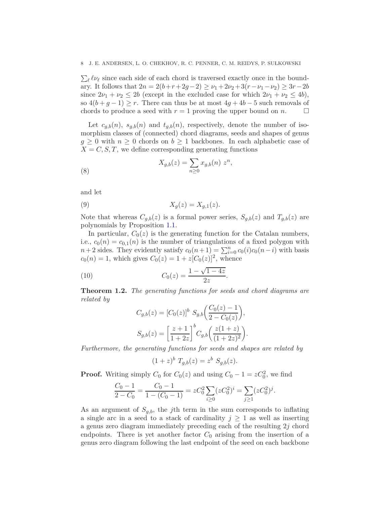$\sum_{\ell} \ell \nu_{\ell}$  since each side of each chord is traversed exactly once in the boundary. It follows that  $2n = 2(b+r+2g-2) \ge \nu_1 + 2\nu_2 + 3(r - \nu_1 - \nu_2) \ge 3r - 2b$ since  $2\nu_1 + \nu_2 \leq 2b$  (except in the excluded case for which  $2\nu_1 + \nu_2 \leq 4b$ ), so  $4(b+g-1) \geq r$ . There can thus be at most  $4g+4b-5$  such removals of chords to produce a seed with  $r = 1$  proving the upper bound on *n*. chords to produce a seed with  $r = 1$  proving the upper bound on *n*.

Let  $c_{g,b}(n)$ ,  $s_{g,b}(n)$  and  $t_{g,b}(n)$ , respectively, denote the number of isomorphism classes of (connected) chord diagrams, seeds and shapes of genus  $g \geq 0$  with  $n \geq 0$  chords on  $b \geq 1$  backbones. In each alphabetic case of  $X = C, S, T$ , we define corresponding generating functions

(8) 
$$
X_{g,b}(z) = \sum_{n\geq 0} x_{g,b}(n) z^n,
$$

and let

$$
(9) \t\t X_g(z) = X_{g,1}(z).
$$

Note that whereas  $C_{g,b}(z)$  is a formal power series,  $S_{g,b}(z)$  and  $T_{g,b}(z)$  are polynomials by Proposition [1.1.](#page-6-0)

In particular,  $C_0(z)$  is the generating function for the Catalan numbers, i.e.,  $c_0(n) = c_{0,1}(n)$  is the number of triangulations of a fixed polygon with  $n+2$  sides. They evidently satisfy  $c_0(n+1) = \sum_{i=0}^n c_0(i)c_0(n-i)$  with basis  $c_0(n) = 1$ , which gives  $C_0(z) = 1 + z[C_0(z)]^2$ , whence

(10) 
$$
C_0(z) = \frac{1 - \sqrt{1 - 4z}}{2z}
$$

<span id="page-7-1"></span>**Theorem 1.2.** *The generating functions for seeds and chord diagrams are related by*

*.*

<span id="page-7-0"></span>
$$
C_{g,b}(z) = [C_0(z)]^b S_{g,b}\left(\frac{C_0(z) - 1}{2 - C_0(z)}\right),
$$
  

$$
S_{g,b}(z) = \left[\frac{z + 1}{1 + 2z}\right]^b C_{g,b}\left(\frac{z(1 + z)}{(1 + 2z)^2}\right).
$$

*Furthermore, the generating functions for seeds and shapes are related by*

$$
(1+z)^{b} T_{g,b}(z) = z^{b} S_{g,b}(z).
$$

**Proof.** Writing simply  $C_0$  for  $C_0(z)$  and using  $C_0 - 1 = zC_0^2$ , we find

$$
\frac{C_0 - 1}{2 - C_0} = \frac{C_0 - 1}{1 - (C_0 - 1)} = zC_0^2 \sum_{i \ge 0} (zC_0^2)^i = \sum_{j \ge 1} (zC_0^2)^j.
$$

As an argument of  $S_{q,b}$ , the *j*th term in the sum corresponds to inflating a single arc in a seed to a stack of cardinality  $j \geq 1$  as well as inserting a genus zero diagram immediately preceding each of the resulting 2*j* chord endpoints. There is yet another factor  $C_0$  arising from the insertion of a genus zero diagram following the last endpoint of the seed on each backbone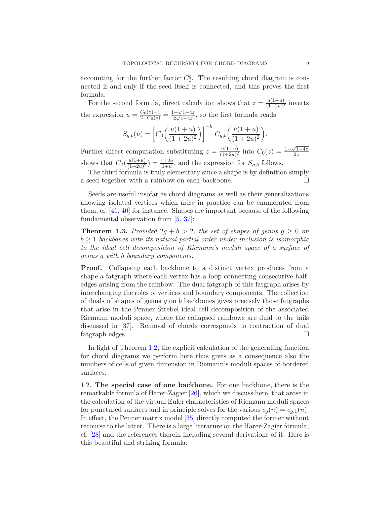accounting for the further factor  $C_0^b$ . The resulting chord diagram is connected if and only if the seed itself is connected, and this proves the first formula.

For the second formula, direct calculation shows that  $z = \frac{u(1+u)}{(1+2u)^2}$  $\frac{u(1+u)}{(1+2u)^2}$  inverts the expression  $u = \frac{C_0(z)-1}{2-C_0(z)} = \frac{1-\sqrt{1-4z}}{2\sqrt{1-4z}}$ , so the first formula reads

$$
S_{g,b}(u) = \left[C_0 \left(\frac{u(1+u)}{(1+2u)^2}\right)\right]^{-b} C_{g,b} \left(\frac{u(1+u)}{(1+2u)^2}\right).
$$

Further direct computation substituting  $z = \frac{u(1+u)}{(1+2u)^2}$  $\frac{u(1+u)}{(1+2u)^2}$  into  $C_0(z) = \frac{1-\sqrt{1-4z}}{2z}$ shows that  $C_0\left(\frac{u(1+u)}{(1+2u)^2}\right) = \frac{1+2u}{1+u}$ , and the expression for  $S_{g,b}$  follows.

The third formula is truly elementary since a shape is by definition simply a seed together with a rainbow on each backbone.

Seeds are useful insofar as chord diagrams as well as their generalizations allowing isolated vertices which arise in practice can be enumerated from them, cf. [\[41,](#page-33-10) [40\]](#page-33-13) for instance. Shapes are important because of the following fundamental observation from [\[5,](#page-32-19) [37\]](#page-33-12):

**Theorem 1.3.** Provided  $2g + b > 2$ , the set of shapes of genus  $g \geq 0$  on  $b \geq 1$  *backbones with its natural partial order under inclusion is isomorphic to the ideal cell decomposition of Riemann's moduli space of a surface of genus g with b boundary components.*

**Proof.** Collapsing each backbone to a distinct vertex produces from a shape a fatgraph where each vertex has a loop connecting consecutive halfedges arising from the rainbow. The dual fatgraph of this fatgraph arises by interchanging the roles of vertices and boundary components. The collection of duals of shapes of genus *g* on *b* backbones gives precisely those fatgraphs that arise in the Penner-Strebel ideal cell decomposition of the associated Riemann moduli space, where the collapsed rainbows are dual to the tails discussed in [\[37\]](#page-33-12). Removal of chords corresponds to contraction of dual fatgraph edges.

In light of Theorem [1.2,](#page-7-1) the explicit calculation of the generating function for chord diagrams we perform here thus gives as a consequence also the numbers of cells of given dimension in Riemann's moduli spaces of bordered surfaces.

<span id="page-8-0"></span>1.2. **The special case of one backbone.** For one backbone, there is the remarkable formula of Harer-Zagier [\[26\]](#page-33-14), which we discuss here, that arose in the calculation of the virtual Euler characteristics of Riemann moduli spaces for punctured surfaces and in principle solves for the various  $c_g(n) = c_{g,1}(n)$ . In effect, the Penner matrix model [\[35\]](#page-33-0) directly computed the former without recourse to the latter. There is a large literature on the Harer-Zagier formula, cf. [\[28\]](#page-33-15) and the references therein including several derivations of it. Here is this beautiful and striking formula: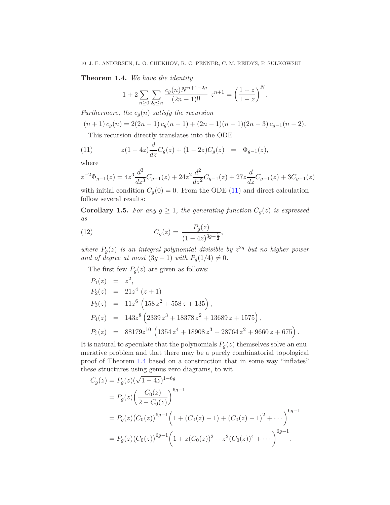<span id="page-9-2"></span>**Theorem 1.4.** *We have the identity*

$$
1 + 2 \sum_{n \ge 0} \sum_{2g \le n} \frac{c_g(n) N^{n+1-2g}}{(2n-1)!!} z^{n+1} = \left(\frac{1+z}{1-z}\right)^N.
$$

*Furthermore, the*  $c_g(n)$  *satisfy the recursion* 

$$
(n+1)c_g(n) = 2(2n-1)c_g(n-1) + (2n-1)(n-1)(2n-3)c_{g-1}(n-2).
$$

<span id="page-9-1"></span>This recursion directly translates into the ODE

(11) 
$$
z(1-4z)\frac{d}{dz}C_g(z) + (1-2z)C_g(z) = \Phi_{g-1}(z),
$$

where

$$
z^{-2}\Phi_{g-1}(z) = 4z^3 \frac{d^3}{dz^3}C_{g-1}(z) + 24z^2 \frac{d^2}{dz^2}C_{g-1}(z) + 27z \frac{d}{dz}C_{g-1}(z) + 3C_{g-1}(z)
$$

with initial condition  $C_g(0) = 0$ . From the ODE [\(11\)](#page-9-1) and direct calculation follow several results:

**Corollary 1.5.** For any  $g \geq 1$ , the generating function  $C_g(z)$  is expressed *as*

<span id="page-9-0"></span>(12) 
$$
C_g(z) = \frac{P_g(z)}{(1-4z)^{3g-\frac{1}{2}}},
$$

*where*  $P_g(z)$  *is an integral polynomial divisible by*  $z^{2g}$  *but no higher power and of degree at most*  $(3g - 1)$  *with*  $P_g(1/4) \neq 0$ .

The first few  $P_g(z)$  are given as follows:

$$
P_1(z) = z^2,
$$
  
\n
$$
P_2(z) = 21z^4 (z + 1)
$$
  
\n
$$
P_3(z) = 11z^6 (158z^2 + 558z + 135),
$$
  
\n
$$
P_4(z) = 143z^8 (2339z^3 + 18378z^2 + 13689z + 1575),
$$
  
\n
$$
P_5(z) = 88179z^{10} (1354z^4 + 18908z^3 + 28764z^2 + 9660z + 675).
$$

It is natural to speculate that the polynomials  $P_g(z)$  themselves solve an enumerative problem and that there may be a purely combinatorial topological proof of Theorem [1.4](#page-9-2) based on a construction that in some way "inflates" these structures using genus zero diagrams, to wit

$$
C_g(z) = P_g(z)(\sqrt{1-4z})^{1-6g}
$$
  
=  $P_g(z)\left(\frac{C_0(z)}{2-C_0(z)}\right)^{6g-1}$   
=  $P_g(z)(C_0(z))^{6g-1}\left(1+(C_0(z)-1)+(C_0(z)-1)^2+\cdots\right)^{6g-1}$   
=  $P_g(z)(C_0(z))^{6g-1}\left(1+z(C_0(z))^2+z^2(C_0(z))^4+\cdots\right)^{6g-1}$ .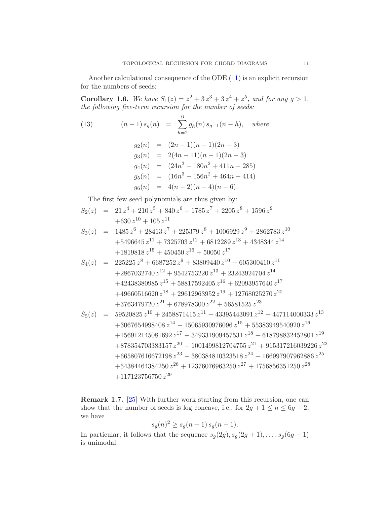Another calculational consequence of the ODE [\(11\)](#page-9-1) is an explicit recursion for the numbers of seeds:

**Corollary 1.6.** We have  $S_1(z) = z^2 + 3z^3 + 3z^4 + z^5$ , and for any  $g > 1$ , *the following five-term recursion for the number of seeds:*

(13) 
$$
(n+1) s_g(n) = \sum_{h=2}^{6} g_h(n) s_{g-1}(n-h), \text{ where}
$$

$$
g_2(n) = (2n-1)(n-1)(2n-3)
$$

$$
g_3(n) = 2(4n-11)(n-1)(2n-3)
$$

$$
g_4(n) = (24n^3 - 180n^2 + 411n - 285)
$$
  
\n
$$
g_5(n) = (16n^3 - 156n^2 + 464n - 414)
$$
  
\n
$$
g_6(n) = 4(n-2)(n-4)(n-6).
$$

The first few seed polynomials are thus given by:

$$
S_2(z) = 21 z4 + 210 z5 + 840 z6 + 1785 z7 + 2205 z8 + 1596 z9
$$
  
+630 z<sup>10</sup> + 105 z<sup>11</sup>

$$
S_3(z) = 1485 z6 + 28413 z7 + 225379 z8 + 1006929 z9 + 2862783 z10
$$
  
+5496645 z<sup>11</sup> + 7325703 z<sup>12</sup> + 6812289 z<sup>13</sup> + 4348344 z<sup>14</sup>  
+1819818 z<sup>15</sup> + 450450 z<sup>16</sup> + 50050 z<sup>17</sup>

$$
S_4(z) = 225225 z^8 + 6687252 z^9 + 83809440 z^{10} + 605300410 z^{11} + 2867032740 z^{12} + 9542753220 z^{13} + 23243924704 z^{14} + 42438380985 z^{15} + 58817592405 z^{16} + 62093957640 z^{17} + 49660516620 z^{18} + 29612963952 z^{19} + 12768025270 z^{20} + 3763479720 z^{21} + 678978300 z^{22} + 56581525 z^{23}
$$

$$
S_5(z) = 59520825 z^{10} + 2458871415 z^{11} + 43395443091 z^{12} + 447114000333 z^{13}
$$
  
+3067654998408 z<sup>14</sup> + 15065930976096 z<sup>15</sup> + 55383949540920 z<sup>16</sup>  
+156912145081692 z<sup>17</sup> + 349331909457531 z<sup>18</sup> + 618798832452801 z<sup>19</sup>  
+878354703383157 z<sup>20</sup> + 1001499812704755 z<sup>21</sup> + 915317216039226 z<sup>22</sup>  
+665807616672198 z<sup>23</sup> + 380384810323518 z<sup>24</sup> + 166997907962886 z<sup>25</sup>  
+54384464384250 z<sup>26</sup> + 12376076963250 z<sup>27</sup> + 1756856351250 z<sup>28</sup>  
+117123756750 z<sup>29</sup>

**Remark 1.7.** [\[25\]](#page-32-20) With further work starting from this recursion, one can show that the number of seeds is log concave, i.e., for  $2g + 1 \le n \le 6g - 2$ , we have

$$
s_g(n)^2 \ge s_g(n+1) \, s_g(n-1).
$$

In particular, it follows that the sequence  $s_g(2g)$ ,  $s_g(2g + 1)$ , . . . ,  $s_g(6g - 1)$ is unimodal.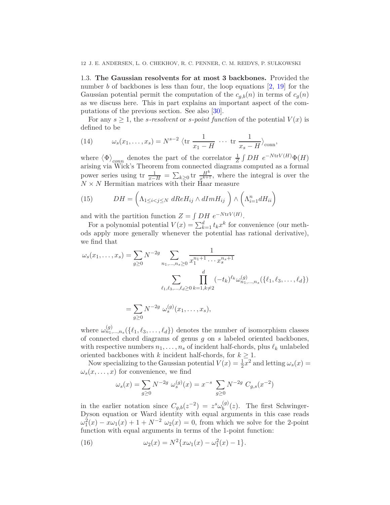1.3. **The Gaussian resolvents for at most 3 backbones.** Provided the number *b* of backbones is less than four, the loop equations [\[2,](#page-32-21) [19\]](#page-32-22) for the Gaussian potential permit the computation of the  $c_{a,b}(n)$  in terms of  $c_q(n)$ as we discuss here. This in part explains an important aspect of the computations of the previous section. See also [\[30\]](#page-33-16).

For any  $s \geq 1$ , the *s*-resolvent or *s*-point function of the potential  $V(x)$  is defined to be

(14) 
$$
\omega_s(x_1,\ldots,x_s) = N^{s-2} \langle \text{tr} \frac{1}{x_1 - H} \cdots \text{tr} \frac{1}{x_s - H} \rangle_{\text{conn}},
$$

where  $\langle \Phi \rangle_{conn}$  denotes the part of the correlator  $\frac{1}{Z} \int DH \ e^{-NtrV(H)} \Phi(H)$ arising via Wick's Theorem from connected diagrams computed as a formal power series using tr  $\frac{1}{x-H} = \sum_{k\geq 0} \text{tr} \frac{H^k}{x^{k+1}}$ , where the integral is over the  $N \times N$  Hermitian matrices with their Haar measure

<span id="page-11-1"></span>(15) 
$$
DH = \left(\Lambda_{1 \leq i < j \leq N} \ dRe H_{ij} \wedge dIm H_{ij}\right) \wedge \left(\Lambda_{i=1}^n dH_{ii}\right)
$$

and with the partition function  $Z = \int DH \ e^{-N \text{tr}V(H)}$ .

For a polynomial potential  $V(x) = \sum_{k=1}^{d} t_k x^k$  for convenience (our methods apply more generally whenever the potential has rational derivative), we find that

$$
\omega_s(x_1, \dots, x_s) = \sum_{g \ge 0} N^{-2g} \sum_{n_1, \dots, n_s \ge 0} \frac{1}{x_1^{n_1+1} \cdots x_s^{n_s+1}}
$$

$$
\sum_{\ell_1, \ell_3, \dots, \ell_d \ge 0} \prod_{k=1, k \ne 2}^d (-t_k)^{\ell_k} \omega_{n_1, \dots, n_s}^{(g)}(\{\ell_1, \ell_3, \dots, \ell_d\})
$$

$$
= \sum_{g\geq 0} N^{-2g} \omega_s^{(g)}(x_1,\ldots,x_s),
$$

where  $\omega_{n_1,\dots,n_s}^{(g)}(\{\ell_1,\ell_3,\dots,\ell_d\})$  denotes the number of isomorphism classes of connected chord diagrams of genus *g* on *s* labeled oriented backbones, with respective numbers  $n_1, \ldots, n_s$  of incident half-chords, plus  $\ell_k$  unlabeled oriented backbones with *k* incident half-chords, for  $k \geq 1$ .

Now specializing to the Gaussian potential  $V(x) = \frac{1}{2}x^2$  and letting  $\omega_s(x) =$  $\omega_s(x,\ldots,x)$  for convenience, we find

$$
\omega_s(x) = \sum_{g \ge 0} N^{-2g} \omega_s^{(g)}(x) = x^{-s} \sum_{g \ge 0} N^{-2g} C_{g,s}(x^{-2})
$$

in the earlier notation since  $C_{g,b}(z^{-2}) = z^s \omega_b^{(g)}$  $b^{(g)}(z)$ . The first Schwinger-Dyson equation or Ward identity with equal arguments in this case reads  $\omega_1^2(x) - x\omega_1(x) + 1 + N^{-2} \omega_2(x) = 0$ , from which we solve for the 2-point function with equal arguments in terms of the 1-point function:

<span id="page-11-0"></span>(16) 
$$
\omega_2(x) = N^2 \{x\omega_1(x) - \omega_1^2(x) - 1\}.
$$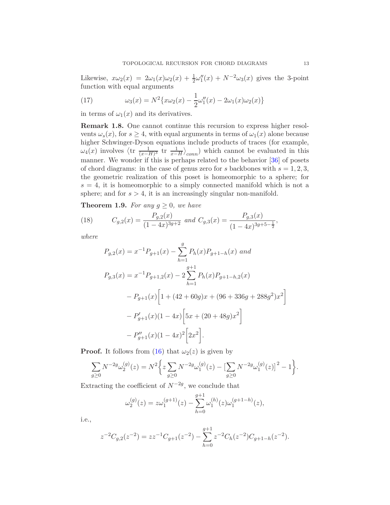Likewise,  $x\omega_2(x) = 2\omega_1(x)\omega_2(x) + \frac{1}{2}\omega_1''(x) + N^{-2}\omega_3(x)$  gives the 3-point function with equal arguments

<span id="page-12-1"></span>(17) 
$$
\omega_3(x) = N^2 \{ x \omega_2(x) - \frac{1}{2} \omega_1''(x) - 2 \omega_1(x) \omega_2(x) \}
$$

in terms of  $\omega_1(x)$  and its derivatives.

**Remark 1.8.** One cannot continue this recursion to express higher resolvents  $\omega_s(x)$ , for  $s \geq 4$ , with equal arguments in terms of  $\omega_1(x)$  alone because higher Schwinger-Dyson equations include products of traces (for example,  $\omega_4(x)$  involves  $\langle \text{tr} \frac{1}{(x-H)^3} \text{tr} \frac{1}{x-H} \rangle_{conn}$  which cannot be evaluated in this manner. We wonder if this is perhaps related to the behavior [\[36\]](#page-33-17) of posets of chord diagrams: in the case of genus zero for *s* backbones with  $s = 1, 2, 3$ , the geometric realization of this poset is homeomorphic to a sphere; for  $s = 4$ , it is homeomorphic to a simply connected manifold which is not a sphere; and for  $s > 4$ , it is an increasingly singular non-manifold.

**Theorem 1.9.** *For any*  $g \geq 0$ *, we have* 

(18) 
$$
C_{g,2}(x) = \frac{P_{g,2}(x)}{(1-4x)^{3g+2}} \text{ and } C_{g,3}(x) = \frac{P_{g,3}(x)}{(1-4x)^{3g+5-\frac{1}{2}}},
$$

*where*

<span id="page-12-0"></span>
$$
P_{g,2}(x) = x^{-1}P_{g+1}(x) - \sum_{h=1}^{g} P_h(x)P_{g+1-h}(x) \text{ and}
$$
  
\n
$$
P_{g,3}(x) = x^{-1}P_{g+1,2}(x) - 2\sum_{h=1}^{g+1} P_h(x)P_{g+1-h,2}(x)
$$
  
\n
$$
-P_{g+1}(x)\left[1 + (42 + 60g)x + (96 + 336g + 288g^2)x^2\right]
$$
  
\n
$$
-P'_{g+1}(x)(1 - 4x)\left[5x + (20 + 48g)x^2\right]
$$
  
\n
$$
-P''_{g+1}(x)(1 - 4x)^2\left[2x^2\right].
$$

**Proof.** It follows from [\(16\)](#page-11-0) that  $\omega_2(z)$  is given by

$$
\sum_{g\geq 0} N^{-2g} \omega_2^{(g)}(z) = N^2 \bigg\{ z \sum_{g\geq 0} N^{-2g} \omega_1^{(g)}(z) - \big[ \sum_{g\geq 0} N^{-2g} \omega_1^{(g)}(z) \big]^2 - 1 \bigg\}.
$$

Extracting the coefficient of  $N^{-2g}$ , we conclude that

$$
\omega_2^{(g)}(z) = z\omega_1^{(g+1)}(z) - \sum_{h=0}^{g+1} \omega_1^{(h)}(z)\omega_1^{(g+1-h)}(z),
$$

i.e.,

$$
z^{-2}C_{g,2}(z^{-2}) = zz^{-1}C_{g+1}(z^{-2}) - \sum_{h=0}^{g+1} z^{-2}C_h(z^{-2})C_{g+1-h}(z^{-2}).
$$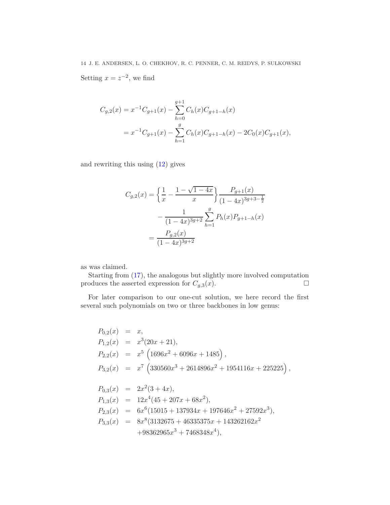14 J. E. ANDERSEN, L. O. CHEKHOV, R. C. PENNER, C. M. REIDYS, P. SUŁKOWSKI Setting  $x = z^{-2}$ , we find

$$
C_{g,2}(x) = x^{-1}C_{g+1}(x) - \sum_{h=0}^{g+1} C_h(x)C_{g+1-h}(x)
$$
  
=  $x^{-1}C_{g+1}(x) - \sum_{h=1}^{g} C_h(x)C_{g+1-h}(x) - 2C_0(x)C_{g+1}(x),$ 

and rewriting this using [\(12\)](#page-9-0) gives

$$
C_{g,2}(x) = \left\{ \frac{1}{x} - \frac{1 - \sqrt{1 - 4x}}{x} \right\} \frac{P_{g+1}(x)}{(1 - 4x)^{3g+3 - \frac{1}{2}}} - \frac{1}{(1 - 4x)^{3g+2}} \sum_{h=1}^{g} P_h(x) P_{g+1-h}(x)
$$

$$
= \frac{P_{g,2}(x)}{(1 - 4x)^{3g+2}}
$$

as was claimed.

Starting from [\(17\)](#page-12-1), the analogous but slightly more involved computation produces the asserted expression for  $C_{g,3}(x)$ .

For later comparison to our one-cut solution, we here record the first several such polynomials on two or three backbones in low genus:

$$
P_{0,2}(x) = x,
$$
  
\n
$$
P_{1,2}(x) = x^3(20x + 21),
$$
  
\n
$$
P_{2,2}(x) = x^5(1696x^2 + 6096x + 1485),
$$
  
\n
$$
P_{3,2}(x) = x^7(330560x^3 + 2614896x^2 + 1954116x + 225225),
$$
  
\n
$$
P_{0,3}(x) = 2x^2(3 + 4x),
$$
  
\n
$$
P_{1,3}(x) = 12x^4(45 + 207x + 68x^2),
$$
  
\n
$$
P_{2,3}(x) = 6x^6(15015 + 137934x + 197646x^2 + 27592x^3),
$$
  
\n
$$
P_{3,3}(x) = 8x^8(3132675 + 46335375x + 143262162x^2 + 98362965x^3 + 7468348x^4),
$$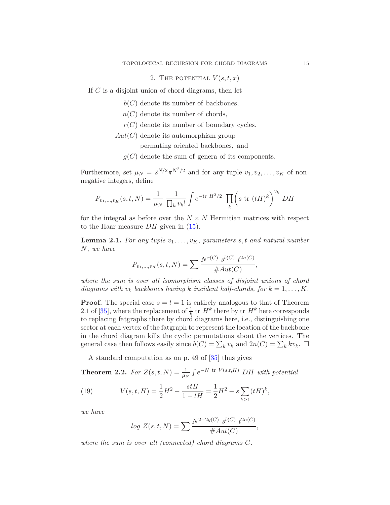# 2. THE POTENTIAL  $V(s,t,x)$

<span id="page-14-0"></span>If *C* is a disjoint union of chord diagrams, then let

*b*(*C*) denote its number of backbones*,*

- *n*(*C*) denote its number of chords*,*
- *r*(*C*) denote its number of boundary cycles*,*
- *Aut*(*C*) denote its automorphism group
	- permuting oriented backbones*,* and
	- $g(C)$  denote the sum of genera of its components.

Furthermore, set  $\mu_N = 2^{N/2} \pi^{N^2/2}$  and for any tuple  $v_1, v_2, \dots, v_K$  of nonnegative integers, define

$$
P_{v_1,\dots,v_K}(s,t,N) = \frac{1}{\mu_N} \frac{1}{\prod_k v_k!} \int e^{-\text{tr } H^2/2} \prod_k \left(s \text{ tr } (tH)^k\right)^{v_k} DH
$$

for the integral as before over the  $N \times N$  Hermitian matrices with respect to the Haar measure *DH* given in [\(15\)](#page-11-1).

**Lemma 2.1.** For any tuple  $v_1, \ldots, v_K$ , parameters s, t and natural number *N, we have*

$$
P_{v_1,\dots,v_K}(s,t,N) = \sum \frac{N^{r(C)} s^{b(C)} t^{2n(C)}}{\#Aut(C)},
$$

*where the sum is over all isomorphism classes of disjoint unions of chord diagrams with*  $v_k$  *backbones having k incident half-chords, for*  $k = 1, \ldots, K$ *.* 

**Proof.** The special case  $s = t = 1$  is entirely analogous to that of Theorem 2.1 of [\[35\]](#page-33-0), where the replacement of  $\frac{1}{k}$  tr  $H^k$  there by tr  $H^k$  here corresponds to replacing fatgraphs there by chord diagrams here, i.e., distinguishing one sector at each vertex of the fatgraph to represent the location of the backbone in the chord diagram kills the cyclic permutations about the vertices. The general case then follows easily since  $\bar{b}(C) = \sum_k v_k$  and  $2n(C) = \sum_k k v_k$ .  $\Box$ 

A standard computation as on p. 49 of [\[35\]](#page-33-0) thus gives

**Theorem 2.2.** For  $Z(s,t,N) = \frac{1}{\mu_N} \int e^{-N \text{ tr } V(s,t,H)} D H$  with potential

(19) 
$$
V(s,t,H) = \frac{1}{2}H^2 - \frac{stH}{1-tH} = \frac{1}{2}H^2 - s\sum_{k\geq 1} (tH)^k,
$$

*we have*

<span id="page-14-1"></span>
$$
log Z(s, t, N) = \sum \frac{N^{2-2g(C)} s^{b(C)} t^{2n(C)}}{\#Aut(C)},
$$

*where the sum is over all (connected) chord diagrams C.*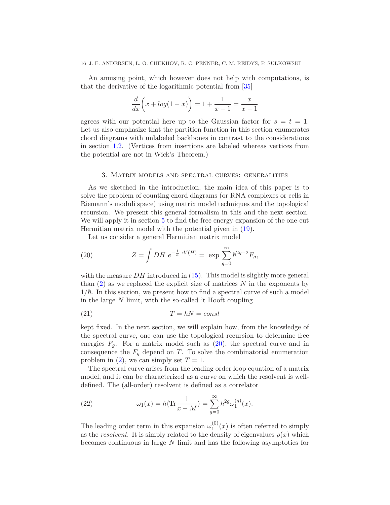#### 16 J. E. ANDERSEN, L. O. CHEKHOV, R. C. PENNER, C. M. REIDYS, P. SUŁKOWSKI

An amusing point, which however does not help with computations, is that the derivative of the logarithmic potential from [\[35\]](#page-33-0)

$$
\frac{d}{dx}\left(x + \log(1 - x)\right) = 1 + \frac{1}{x - 1} = \frac{x}{x - 1}
$$

agrees with our potential here up to the Gaussian factor for  $s = t = 1$ . Let us also emphasize that the partition function in this section enumerates chord diagrams with unlabeled backbones in contrast to the considerations in section [1.2.](#page-8-0) (Vertices from insertions are labeled whereas vertices from the potential are not in Wick's Theorem.)

### 3. Matrix models and spectral curves: generalities

<span id="page-15-0"></span>As we sketched in the introduction, the main idea of this paper is to solve the problem of counting chord diagrams (or RNA complexes or cells in Riemann's moduli space) using matrix model techniques and the topological recursion. We present this general formalism in this and the next section. We will apply it in section [5](#page-20-0) to find the free energy expansion of the one-cut Hermitian matrix model with the potential given in [\(19\)](#page-14-1).

<span id="page-15-1"></span>Let us consider a general Hermitian matrix model

(20) 
$$
Z = \int DH \ e^{-\frac{1}{\hbar} \text{tr} V(H)} = \exp \sum_{g=0}^{\infty} \hbar^{2g-2} F_g,
$$

with the measure *DH* introduced in [\(15\)](#page-11-1). This model is slightly more general than [\(2\)](#page-1-1) as we replaced the explicit size of matrices *N* in the exponents by  $1/\hbar$ . In this section, we present how to find a spectral curve of such a model in the large *N* limit, with the so-called 't Hooft coupling

$$
(21) \t\t T = \hbar N = const
$$

kept fixed. In the next section, we will explain how, from the knowledge of the spectral curve, one can use the topological recursion to determine free energies  $F_q$ . For a matrix model such as  $(20)$ , the spectral curve and in consequence the  $F_q$  depend on *T*. To solve the combinatorial enumeration problem in  $(2)$ , we can simply set  $T = 1$ .

The spectral curve arises from the leading order loop equation of a matrix model, and it can be characterized as a curve on which the resolvent is welldefined. The (all-order) resolvent is defined as a correlator

<span id="page-15-2"></span>(22) 
$$
\omega_1(x) = \hbar \langle \text{Tr} \frac{1}{x - M} \rangle = \sum_{g=0}^{\infty} \hbar^{2g} \omega_1^{(g)}(x).
$$

The leading order term in this expansion  $\omega_1^{(0)}$  $1^{(0)}(x)$  is often referred to simply as the *resolvent*. It is simply related to the density of eigenvalues  $\rho(x)$  which becomes continuous in large *N* limit and has the following asymptotics for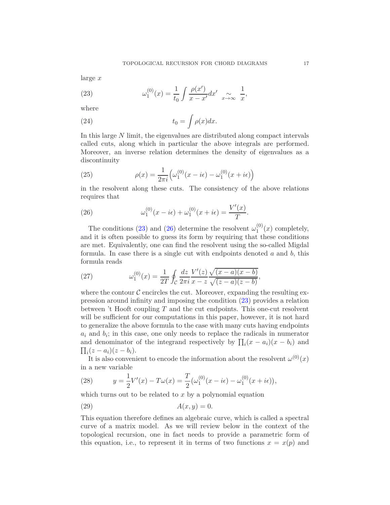large *x*

<span id="page-16-0"></span>(23) 
$$
\omega_1^{(0)}(x) = \frac{1}{t_0} \int \frac{\rho(x')}{x - x'} dx' \underset{x \to \infty}{\sim} \frac{1}{x},
$$

where

<span id="page-16-4"></span>(24) 
$$
t_0 = \int \rho(x) dx.
$$

In this large *N* limit, the eigenvalues are distributed along compact intervals called cuts, along which in particular the above integrals are performed. Moreover, an inverse relation determines the density of eigenvalues as a discontinuity

(25) 
$$
\rho(x) = \frac{1}{2\pi i} \Big( \omega_1^{(0)}(x - i\epsilon) - \omega_1^{(0)}(x + i\epsilon) \Big)
$$

in the resolvent along these cuts. The consistency of the above relations requires that

<span id="page-16-1"></span>(26) 
$$
\omega_1^{(0)}(x - i\epsilon) + \omega_1^{(0)}(x + i\epsilon) = \frac{V'(x)}{T}.
$$

The conditions [\(23\)](#page-16-0) and [\(26\)](#page-16-1) determine the resolvent  $\omega_1^{(0)}$  $j_1^{(0)}(x)$  completely, and it is often possible to guess its form by requiring that these conditions are met. Equivalently, one can find the resolvent using the so-called Migdal formula. In case there is a single cut with endpoints denoted *a* and *b*, this formula reads

<span id="page-16-3"></span>(27) 
$$
\omega_1^{(0)}(x) = \frac{1}{2T} \oint_C \frac{dz}{2\pi i} \frac{V'(z)}{x - z} \frac{\sqrt{(x - a)(x - b)}}{\sqrt{(z - a)(z - b)}},
$$

where the contour  $\mathcal C$  encircles the cut. Moreover, expanding the resulting expression around infinity and imposing the condition [\(23\)](#page-16-0) provides a relation between 't Hooft coupling *T* and the cut endpoints. This one-cut resolvent will be sufficient for our computations in this paper, however, it is not hard to generalize the above formula to the case with many cuts having endpoints  $a_i$  and  $b_i$ ; in this case, one only needs to replace the radicals in numerator and denominator of the integrand respectively by  $\prod_i (x - a_i)(x - b_i)$  and  $\prod_i (z - a_i)(z - b_i).$ 

It is also convenient to encode the information about the resolvent  $\omega^{(0)}(x)$ in a new variable

<span id="page-16-2"></span>(28) 
$$
y = \frac{1}{2}V'(x) - T\omega(x) = \frac{T}{2}(\omega_1^{(0)}(x - i\epsilon) - \omega_1^{(0)}(x + i\epsilon)),
$$

which turns out to be related to *x* by a polynomial equation

$$
(29) \t\t A(x,y) = 0.
$$

This equation therefore defines an algebraic curve, which is called a spectral curve of a matrix model. As we will review below in the context of the topological recursion, one in fact needs to provide a parametric form of this equation, i.e., to represent it in terms of two functions  $x = x(p)$  and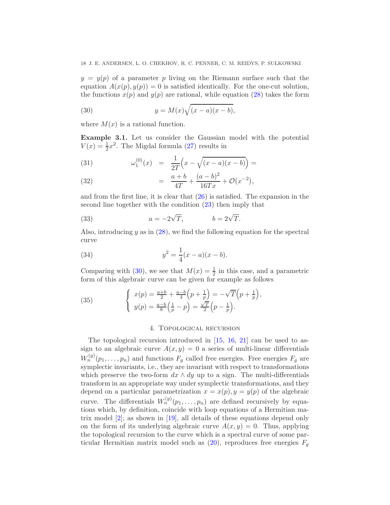$y = y(p)$  of a parameter *p* living on the Riemann surface such that the equation  $A(x(p), y(p)) = 0$  is satisfied identically. For the one-cut solution, the functions  $x(p)$  and  $y(p)$  are rational, while equation [\(28\)](#page-16-2) takes the form

<span id="page-17-1"></span>(30) 
$$
y = M(x)\sqrt{(x-a)(x-b)},
$$

where  $M(x)$  is a rational function.

<span id="page-17-2"></span>**Example 3.1.** Let us consider the Gaussian model with the potential  $V(x) = \frac{1}{2}x^2$ . The Migdal formula [\(27\)](#page-16-3) results in

(31) 
$$
\omega_1^{(0)}(x) = \frac{1}{2T} \left( x - \sqrt{(x-a)(x-b)} \right) =
$$

(32) 
$$
= \frac{a+b}{4T} + \frac{(a-b)^2}{16Tx} + \mathcal{O}(x^{-2}),
$$

and from the first line, it is clear that [\(26\)](#page-16-1) is satisfied. The expansion in the second line together with the condition [\(23\)](#page-16-0) then imply that

<span id="page-17-4"></span>(33) 
$$
a = -2\sqrt{T}, \qquad b = 2\sqrt{T}.
$$

Also, introducing *y* as in [\(28\)](#page-16-2), we find the following equation for the spectral curve

(34) 
$$
y^2 = \frac{1}{4}(x-a)(x-b).
$$

Comparing with [\(30\)](#page-17-1), we see that  $M(x) = \frac{1}{2}$  in this case, and a parametric form of this algebraic curve can be given for example as follows

(35) 
$$
\begin{cases} x(p) = \frac{a+b}{2} + \frac{a-b}{4} (p + \frac{1}{p}) = -\sqrt{T} (p + \frac{1}{p}), \\ y(p) = \frac{a-b}{8} (\frac{1}{p} - p) = \frac{\sqrt{T}}{2} (p - \frac{1}{p}). \end{cases}
$$

## <span id="page-17-5"></span><span id="page-17-3"></span>4. Topological recursion

<span id="page-17-0"></span>The topological recursion introduced in [\[15,](#page-32-0) [16,](#page-32-1) [21\]](#page-32-2) can be used to assign to an algebraic curve  $A(x, y) = 0$  a series of multi-linear differentials  $W_n^{(g)}(p_1, \ldots, p_n)$  and functions  $F_g$  called free energies. Free energies  $F_g$  are symplectic invariants, i.e., they are invariant with respect to transformations which preserve the two-form  $dx \wedge dy$  up to a sign. The multi-differentials transform in an appropriate way under symplectic transformations, and they depend on a particular parametrization  $x = x(p)$ ,  $y = y(p)$  of the algebraic curve. The differentials  $W_n^{(g)}(p_1, \ldots, p_n)$  are defined recursively by equations which, by definition, coincide with loop equations of a Hermitian matrix model [\[2\]](#page-32-21); as shown in [\[19\]](#page-32-22), all details of these equations depend only on the form of its underlying algebraic curve  $A(x, y) = 0$ . Thus, applying the topological recursion to the curve which is a spectral curve of some particular Hermitian matrix model such as  $(20)$ , reproduces free energies  $F_q$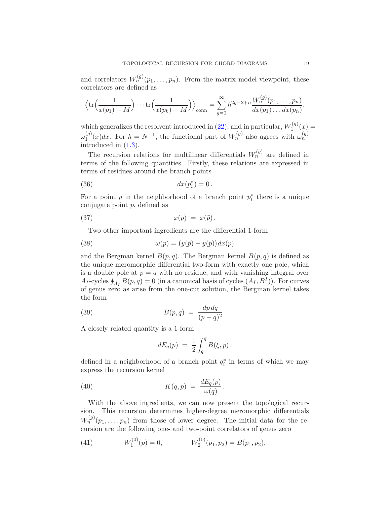and correlators  $W_n^{(g)}(p_1, \ldots, p_n)$ . From the matrix model viewpoint, these correlators are defined as

$$
\left\langle \text{tr}\Big(\frac{1}{x(p_1)-M}\Big)\cdots\text{tr}\Big(\frac{1}{x(p_k)-M}\Big)\right\rangle_{\text{conn}} = \sum_{g=0}^{\infty}\hbar^{2g-2+n}\frac{W_n^{(g)}(p_1,\ldots,p_n)}{dx(p_1)\ldots dx(p_n)},
$$

which generalizes the resolvent introduced in  $(22)$ , and in particular,  $W_1^{(g)}$  $f_1^{(g)}(x) =$  $\omega_1^{(g)}$  $\int_1^{(g)}(x)dx$ . For  $\hbar = N^{-1}$ , the functional part of  $W_n^{(g)}$  also agrees with  $\omega_n^{(g)}$ introduced in [\(1.3\)](#page-11-1).

The recursion relations for multilinear differentials  $W_n^{(g)}$  are defined in terms of the following quantities. Firstly, these relations are expressed in terms of residues around the branch points

$$
(36) \t\t dx(p_i^*) = 0.
$$

For a point  $p$  in the neighborhood of a branch point  $p_i^*$  there is a unique conjugate point  $\bar{p}$ , defined as

$$
(37) \t x(p) = x(\bar{p}).
$$

Two other important ingredients are the differential 1-form

(38) 
$$
\omega(p) = (y(\bar{p}) - y(p))dx(p)
$$

and the Bergman kernel  $B(p,q)$ . The Bergman kernel  $B(p,q)$  is defined as the unique meromorphic differential two-form with exactly one pole, which is a double pole at  $p = q$  with no residue, and with vanishing integral over  $A_I$ -cycles  $\oint_{A_I} B(p, q) = 0$  (in a canonical basis of cycles  $(A_I, B^I)$ ). For curves of genus zero as arise from the one-cut solution, the Bergman kernel takes the form

(39) 
$$
B(p,q) = \frac{dp dq}{(p-q)^2}.
$$

A closely related quantity is a 1-form

<span id="page-18-1"></span><span id="page-18-0"></span>
$$
dE_q(p) = \frac{1}{2} \int_q^{\bar{q}} B(\xi, p) \, .
$$

defined in a neighborhood of a branch point  $q_i^*$  in terms of which we may express the recursion kernel

(40) 
$$
K(q,p) = \frac{dE_q(p)}{\omega(q)}.
$$

With the above ingredients, we can now present the topological recursion. This recursion determines higher-degree meromorphic differentials  $W_n^{(g)}(p_1,\ldots,p_n)$  from those of lower degree. The initial data for the recursion are the following one- and two-point correlators of genus zero

(41) 
$$
W_1^{(0)}(p) = 0, \qquad W_2^{(0)}(p_1, p_2) = B(p_1, p_2),
$$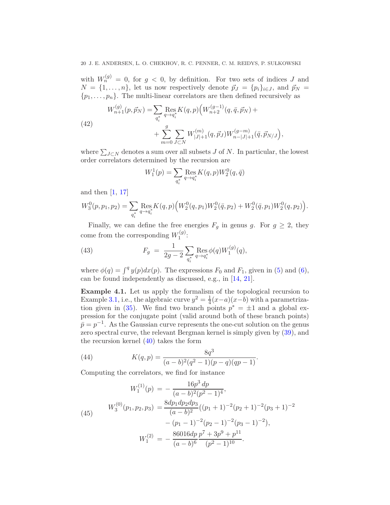with  $W_n^{(g)} = 0$ , for  $g < 0$ , by definition. For two sets of indices *J* and  $N = \{1, \ldots, n\}$ , let us now respectively denote  $\vec{p}_J = \{p_i\}_{i \in J}$ , and  $\vec{p}_N =$  $\{p_1, \ldots, p_n\}$ . The multi-linear correlators are then defined recursively as

(42)  
\n
$$
W_{n+1}^{(g)}(p, \vec{p}_N) = \sum_{q_i^*} \operatorname{Res}_{q \to q_i^*} K(q, p) \Big( W_{n+2}^{(g-1)}(q, \bar{q}, \vec{p}_N) + \\ + \sum_{m=0}^g \sum_{J \subset N} W_{|J|+1}^{(m)}(q, \vec{p}_J) W_{n-|J|+1}^{(g-m)}(\bar{q}, \vec{p}_{N/J}),
$$

where  $\sum_{J\subset N}$  denotes a sum over all subsets *J* of *N*. In particular, the lowest order correlators determined by the recursion are

$$
W_1^1(p) = \sum_{q_i^*} \operatorname{Res}_{q \to q_i^*} K(q, p) W_2^0(q, \bar{q})
$$

and then [\[1,](#page-32-23) [17\]](#page-32-24)

$$
W_3^0(p, p_1, p_2) = \sum_{q_i^*} \text{Res}_{q \to q_i^*} K(q, p) \Big( W_2^0(q, p_1) W_2^0(\bar{q}, p_2) + W_2^0(\bar{q}, p_1) W_2^0(q, p_2) \Big).
$$

Finally, we can define the free energies  $F_g$  in genus *g*. For  $g \geq 2$ , they come from the corresponding  $W_1^{(g)}$  $\frac{1}{1}^{(g)}$ :

<span id="page-19-0"></span>(43) 
$$
F_g = \frac{1}{2g-2} \sum_{q_i^*} \operatorname{Res}_{q \to q_i^*} \phi(q) W_1^{(g)}(q),
$$

where  $\phi(q) = \int^q y(p) dx(p)$ . The expressions  $F_0$  and  $F_1$ , given in [\(5\)](#page-3-1) and [\(6\)](#page-3-2), can be found independently as discussed, e.g., in [\[14,](#page-32-14) [21\]](#page-32-2).

<span id="page-19-1"></span>**Example 4.1.** Let us apply the formalism of the topological recursion to Example [3.1,](#page-17-2) i.e., the algebraic curve  $y^2 = \frac{1}{4}$ 4 (*x*−*a*)(*x*−*b*) with a parametriza-tion given in [\(35\)](#page-17-3). We find two branch points  $p^* = \pm 1$  and a global expression for the conjugate point (valid around both of these branch points)  $\bar{p} = p^{-1}$ . As the Gaussian curve represents the one-cut solution on the genus zero spectral curve, the relevant Bergman kernel is simply given by [\(39\)](#page-18-0), and the recursion kernel  $(40)$  takes the form

<span id="page-19-2"></span>(44) 
$$
K(q,p) = \frac{8q^3}{(a-b)^2(q^2-1)(p-q)(qp-1)}.
$$

Computing the correlators, we find for instance

<span id="page-19-3"></span>(45)  
\n
$$
W_1^{(1)}(p) = -\frac{16p^3 dp}{(a-b)^2(p^2-1)^4},
$$
\n
$$
W_3^{(0)}(p_1, p_2, p_3) = \frac{8dp_1dp_2dp_3}{(a-b)^2}((p_1+1)^{-2}(p_2+1)^{-2}(p_3+1)^{-2} - (p_1-1)^{-2}(p_2-1)^{-2}(p_3-1)^{-2}),
$$
\n
$$
W_1^{(2)} = -\frac{86016dp}{(a-b)^6} \frac{p^7 + 3p^9 + p^{11}}{(p^2-1)^{10}}.
$$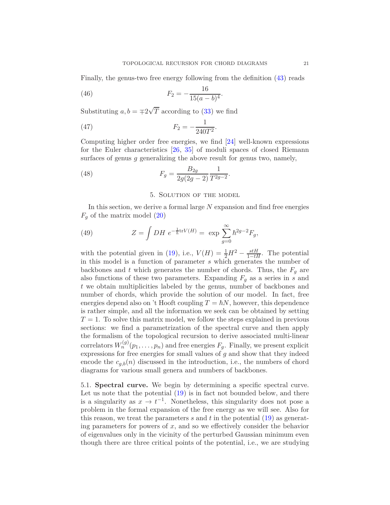Finally, the genus-two free energy following from the definition [\(43\)](#page-19-0) reads

(46) 
$$
F_2 = -\frac{16}{15(a-b)^4}.
$$

Substituting  $a, b = \pm 2\sqrt{T}$  according to [\(33\)](#page-17-4) we find

(47) 
$$
F_2 = -\frac{1}{240T^2}.
$$

Computing higher order free energies, we find [\[24\]](#page-32-3) well-known expressions for the Euler characteristics [\[26,](#page-33-14) [35\]](#page-33-0) of moduli spaces of closed Riemann surfaces of genus *g* generalizing the above result for genus two, namely,

<span id="page-20-0"></span>(48) 
$$
F_g = \frac{B_{2g}}{2g(2g-2)} \frac{1}{T^{2g-2}}.
$$

# <span id="page-20-1"></span>5. Solution of the model

In this section, we derive a formal large *N* expansion and find free energies  $F_q$  of the matrix model  $(20)$ 

(49) 
$$
Z = \int DH \ e^{-\frac{1}{\hbar} \text{tr} V(H)} = \exp \sum_{g=0}^{\infty} \hbar^{2g-2} F_g,
$$

with the potential given in [\(19\)](#page-14-1), i.e.,  $V(H) = \frac{1}{2}H^2 - \frac{stH}{1-tH}$ . The potential in this model is a function of parameter *s* which generates the number of backbones and *t* which generates the number of chords. Thus, the  $F_q$  are also functions of these two parameters. Expanding  $F_q$  as a series in *s* and *t* we obtain multiplicities labeled by the genus, number of backbones and number of chords, which provide the solution of our model. In fact, free energies depend also on 't Hooft coupling  $T = \hbar N$ , however, this dependence is rather simple, and all the information we seek can be obtained by setting  $T = 1$ . To solve this matrix model, we follow the steps explained in previous sections: we find a parametrization of the spectral curve and then apply the formalism of the topological recursion to derive associated multi-linear correlators  $W_n^{(g)}(p_1, \ldots, p_n)$  and free energies  $F_g$ . Finally, we present explicit expressions for free energies for small values of *g* and show that they indeed encode the  $c_{a,b}(n)$  discussed in the introduction, i.e., the numbers of chord diagrams for various small genera and numbers of backbones.

5.1. **Spectral curve.** We begin by determining a specific spectral curve. Let us note that the potential  $(19)$  is in fact not bounded below, and there is a singularity as  $x \to t^{-1}$ . Nonetheless, this singularity does not pose a problem in the formal expansion of the free energy as we will see. Also for this reason, we treat the parameters *s* and *t* in the potential [\(19\)](#page-14-1) as generating parameters for powers of *x*, and so we effectively consider the behavior of eigenvalues only in the vicinity of the perturbed Gaussian minimum even though there are three critical points of the potential, i.e., we are studying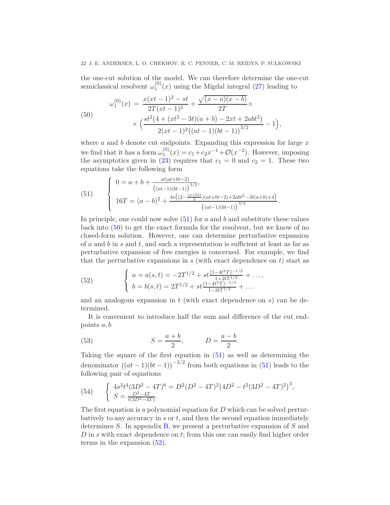# 22 J. E. ANDERSEN, L. O. CHEKHOV, R. C. PENNER, C. M. REIDYS, P. SUŁKOWSKI

the one-cut solution of the model. We can therefore determine the one-cut semiclassical resolvent  $\omega_1^{(0)}$  $1^{(0)}(x)$  using the Migdal integral [\(27\)](#page-16-3) leading to

<span id="page-21-1"></span>(50)  

$$
\omega_1^{(0)}(x) = \frac{x(xt-1)^2 - st}{2T(xt-1)^2} + \frac{\sqrt{(x-a)(x-b)}}{2T} \times \times \left( \frac{st^2(4 + (xt^2 - 3t)(a+b) - 2xt + 2abt^2)}{2(xt-1)^2((at-1)(bt-1))^{3/2}} - 1 \right),
$$

where *a* and *b* denote cut endpoints. Expanding this expression for large *x* we find that it has a form  $\omega_1^{(0)}$  $f_1^{(0)}(x) = c_1 + c_2 x^{-1} + \mathcal{O}(x^{-2})$ . However, imposing the asymptotics given in [\(23\)](#page-16-0) requires that  $c_1 = 0$  and  $c_2 = 1$ . These two equations take the following form

<span id="page-21-0"></span>(51) 
$$
\begin{cases} 0 = a + b + \frac{st(at+bt-2)}{((at-1)(bt-1))^{3/2}}, \\ 16T = (a-b)^2 + \frac{4s((2-\frac{(a+b)t}{2})(at+bt-2)+2abt^2-3t(a+b)+4)}{((at-1)(bt-1))^{3/2}}. \end{cases}
$$

In principle, one could now solve [\(51\)](#page-21-0) for *a* and *b* and substitute these values back into [\(50\)](#page-21-1) to get the exact formula for the resolvent, but we know of no closed-form solution. However, one can determine perturbative expansion of *a* and *b* in *s* and *t*, and such a representation is sufficient at least as far as perturbative expansion of free energies is concerned. For example, we find that the perturbative expansions in  $s$  (with exact dependence on  $t$ ) start as

<span id="page-21-2"></span>(52) 
$$
\begin{cases} a = a(s,t) = -2T^{1/2} + st \frac{(1-4t^2T)^{-1/2}}{1+2tT^{1/2}} + \dots, \\ b = b(s,t) = 2T^{1/2} + st \frac{(1-4t^2T)^{-1/2}}{1-2tT^{1/2}} + \dots \end{cases}
$$

and an analogous expansion in *t* (with exact dependence on *s*) can be determined.

It is convenient to introduce half the sum and difference of the cut endpoints *a, b*

*.*

<span id="page-21-4"></span>(53) 
$$
S = \frac{a+b}{2}, \qquad D = \frac{a-b}{2}
$$

Taking the square of the first equation in [\(51\)](#page-21-0) as well as determining the denominator  $((at-1)(bt-1))^{-3/2}$  from both equations in [\(51\)](#page-21-0) leads to the following pair of equations

<span id="page-21-3"></span>(54) 
$$
\begin{cases} 4s^2t^4(3D^2 - 4T)^6 = D^2(D^2 - 4T)^2(4D^2 - t^2(3D^2 - 4T)^2)^3, \\ S = \frac{D^2 - 4T}{t(3D^2 - 4T)}. \end{cases}
$$

The first equation is a polynomial equation for *D* which can be solved perturbatively to any accuracy in *s* or *t*, and then the second equation immediately determines *S*. In appendix [B,](#page-29-1) we present a perturbative expansion of *S* and *D* in *s* with exact dependence on *t*; from this one can easily find higher order terms in the expansion [\(52\)](#page-21-2).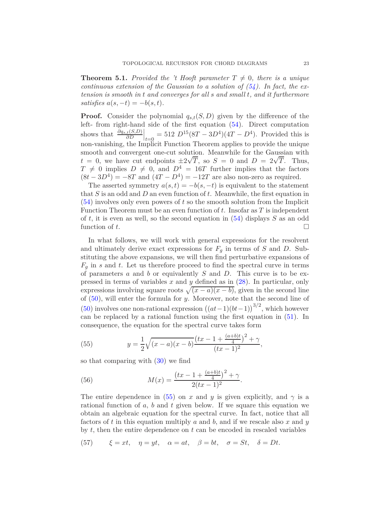<span id="page-22-1"></span>**Theorem 5.1.** *Provided the 't Hooft parameter*  $T \neq 0$ *, there is a unique continuous extension of the Gaussian to a solution of*  $(54)$ *. In fact, the extension is smooth in t and converges for all s and small t, and it furthermore*  $satisfies a(s, -t) = -b(s, t).$ 

**Proof.** Consider the polynomial  $q_{s,t}(S, D)$  given by the difference of the left- from right-hand side of the first equation [\(54\)](#page-21-3). Direct computation shows that  $\frac{\partial q_{s,t}(S,D)}{\partial D}$  $t_{t=0} = 512 D^{15} (8T - 3D^4) (4T - D^4)$ . Provided this is non-vanishing, the Implicit Function Theorem applies to provide the unique smooth and convergent one-cut solution. Meanwhile for the Gaussian with  $t = 0$ , we have cut endpoints  $\pm 2\sqrt{T}$ , so  $S = 0$  and  $D = 2\sqrt{T}$ . Thus,  $T \neq 0$  implies  $D \neq 0$ , and  $D^4 = 16T$  further implies that the factors  $(8t - 3D<sup>4</sup>) = -8T$  and  $(4T - D<sup>4</sup>) = -12T$  are also non-zero as required.

The asserted symmetry  $a(s,t) = -b(s,-t)$  is equivalent to the statement that *S* is an odd and *D* an even function of *t*. Meanwhile, the first equation in [\(54\)](#page-21-3) involves only even powers of *t* so the smooth solution from the Implicit Function Theorem must be an even function of *t*. Insofar as *T* is independent of *t*, it is even as well, so the second equation in [\(54\)](#page-21-3) displays *S* as an odd function of  $t$ .

In what follows, we will work with general expressions for the resolvent and ultimately derive exact expressions for  $F_q$  in terms of  $S$  and  $D$ . Substituting the above expansions, we will then find perturbative expansions of  $F_g$  in *s* and *t*. Let us therefore proceed to find the spectral curve in terms of parameters *a* and *b* or equivalently *S* and *D*. This curve is to be expressed in terms of variables *x* and *y* defined as in [\(28\)](#page-16-2). In particular, only expressions involving square roots  $\sqrt{(x-a)(x-b)}$ , given in the second line of [\(50\)](#page-21-1), will enter the formula for *y*. Moreover, note that the second line of [\(50\)](#page-21-1) involves one non-rational expression  $((at-1)(bt-1))^{3/2}$ , which however can be replaced by a rational function using the first equation in [\(51\)](#page-21-0). In consequence, the equation for the spectral curve takes form

<span id="page-22-0"></span>(55) 
$$
y = \frac{1}{2}\sqrt{(x-a)(x-b)}\frac{(tx-1+\frac{(a+b)t}{4})^2+\gamma}{(tx-1)^2},
$$

so that comparing with [\(30\)](#page-17-1) we find

<span id="page-22-3"></span>(56) 
$$
M(x) = \frac{(tx - 1 + \frac{(a+b)t}{4})^2 + \gamma}{2(tx - 1)^2}.
$$

The entire dependence in [\(55\)](#page-22-0) on *x* and *y* is given explicitly, and  $\gamma$  is a rational function of *a*, *b* and *t* given below. If we square this equation we obtain an algebraic equation for the spectral curve. In fact, notice that all factors of *t* in this equation multiply *a* and *b*, and if we rescale also *x* and *y* by *t*, then the entire dependence on *t* can be encoded in rescaled variables

<span id="page-22-2"></span>(57) 
$$
\xi = xt, \quad \eta = yt, \quad \alpha = at, \quad \beta = bt, \quad \sigma = St, \quad \delta = Dt.
$$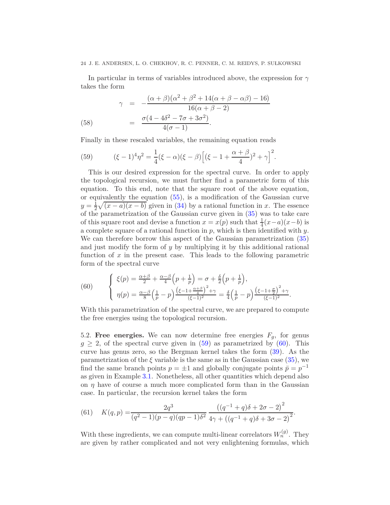#### 24 J. E. ANDERSEN, L. O. CHEKHOV, R. C. PENNER, C. M. REIDYS, P. SUŁKOWSKI

In particular in terms of variables introduced above, the expression for *γ* takes the form

(58) 
$$
\gamma = -\frac{(\alpha + \beta)(\alpha^2 + \beta^2 + 14(\alpha + \beta - \alpha \beta) - 16)}{16(\alpha + \beta - 2)} = \frac{\sigma(4 - 4\delta^2 - 7\sigma + 3\sigma^2)}{4(\sigma - 1)}.
$$

Finally in these rescaled variables, the remaining equation reads

<span id="page-23-0"></span>(59) 
$$
(\xi - 1)^4 \eta^2 = \frac{1}{4} (\xi - \alpha) (\xi - \beta) \Big[ (\xi - 1 + \frac{\alpha + \beta}{4})^2 + \gamma \Big]^2.
$$

This is our desired expression for the spectral curve. In order to apply the topological recursion, we must further find a parametric form of this equation. To this end, note that the square root of the above equation, or equivalently the equation [\(55\)](#page-22-0), is a modification of the Gaussian curve  $y=\frac{1}{2}$  $\frac{1}{2}\sqrt{(x-a)(x-b)}$  given in [\(34\)](#page-17-5) by a rational function in *x*. The essence of the parametrization of the Gaussian curve given in [\(35\)](#page-17-3) was to take care of this square root and devise a function  $x = x(p)$  such that  $\frac{1}{4}(x-a)(x-b)$  is a complete square of a rational function in *p*, which is then identified with *y*. We can therefore borrow this aspect of the Gaussian parametrization [\(35\)](#page-17-3) and just modify the form of *y* by multiplying it by this additional rational function of x in the present case. This leads to the following parametric form of the spectral curve

<span id="page-23-1"></span>(60) 
$$
\begin{cases} \xi(p) = \frac{\alpha+\beta}{2} + \frac{\alpha-\beta}{4}\left(p+\frac{1}{p}\right) = \sigma + \frac{\delta}{2}\left(p+\frac{1}{p}\right), \\ \eta(p) = \frac{\alpha-\beta}{8}\left(\frac{1}{p}-p\right)\frac{\left(\xi-1+\frac{\alpha+\beta}{4}\right)^2 + \gamma}{(\xi-1)^2} = \frac{\delta}{4}\left(\frac{1}{p}-p\right)\frac{\left(\xi-1+\frac{\sigma}{2}\right)^2 + \gamma}{(\xi-1)^2}.\end{cases}
$$

With this parametrization of the spectral curve, we are prepared to compute the free energies using the topological recursion.

5.2. **Free energies.** We can now determine free energies  $F_g$ , for genus  $g \geq 2$ , of the spectral curve given in [\(59\)](#page-23-0) as parametrized by [\(60\)](#page-23-1). This curve has genus zero, so the Bergman kernel takes the form [\(39\)](#page-18-0). As the parametrization of the  $\xi$  variable is the same as in the Gaussian case [\(35\)](#page-17-3), we find the same branch points  $p = \pm 1$  and globally conjugate points  $\bar{p} = p^{-1}$ as given in Example [3.1.](#page-17-2) Nonetheless, all other quantities which depend also on  $\eta$  have of course a much more complicated form than in the Gaussian case. In particular, the recursion kernel takes the form

<span id="page-23-2"></span>(61) 
$$
K(q,p) = \frac{2q^3}{(q^2-1)(p-q)(qp-1)\delta^2} \frac{\left((q^{-1}+q)\delta + 2\sigma - 2\right)^2}{4\gamma + \left((q^{-1}+q)\delta + 3\sigma - 2\right)^2}.
$$

With these ingredients, we can compute multi-linear correlators  $W_n^{(g)}$ . They are given by rather complicated and not very enlightening formulas, which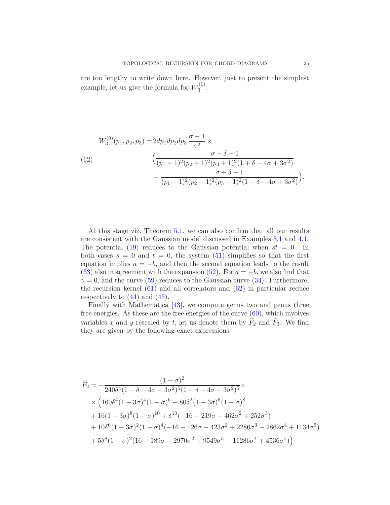are too lengthy to write down here. However, just to present the simplest example, let us give the formula for  $W_3^{(0)}$  $\frac{1}{3}^{(0)}$ :

<span id="page-24-0"></span>(62)  

$$
W_3^{(0)}(p_1, p_2, p_3) = 2dp_1dp_2dp_3 \frac{\sigma - 1}{\sigma^2} \times \frac{\sigma - \delta - 1}{(p_1 + 1)^2 (p_2 + 1)^2 (p_3 + 1)^2 (1 + \delta - 4\sigma + 3\sigma^2)} - \frac{\sigma + \delta - 1}{(p_1 - 1)^2 (p_2 - 1)^2 (p_3 - 1)^2 (1 - \delta - 4\sigma + 3\sigma^2)}.
$$

At this stage viz. Theorem [5.1,](#page-22-1) we can also confirm that all our results are consistent with the Gaussian model discussed in Examples [3.1](#page-17-2) and [4.1.](#page-19-1) The potential  $(19)$  reduces to the Gaussian potential when  $st = 0$ . In both cases  $s = 0$  and  $t = 0$ , the system  $(51)$  simplifies so that the first equation implies  $a = -b$ , and then the second equation leads to the result [\(33\)](#page-17-4) also in agreement with the expansion [\(52\)](#page-21-2). For  $a = -b$ , we also find that  $\gamma = 0$ , and the curve [\(59\)](#page-23-0) reduces to the Gaussian curve [\(34\)](#page-17-5). Furthermore, the recursion kernel [\(61\)](#page-23-2) and all correlators and [\(62\)](#page-24-0) in particular reduce respectively to  $(44)$  and  $(45)$ .

Finally with Mathematica [\[43\]](#page-33-18), we compute genus two and genus three free energies. As these are the free energies of the curve  $(60)$ , which involves variables  $x$  and  $y$  rescaled by  $t$ , let us denote them by  $F_2$  and  $F_3$ . We find they are given by the following exact expressions

$$
\tilde{F}_2 = -\frac{(1-\sigma)^2}{240\delta^4 (1-\delta-4\sigma+3\sigma^2)^5 (1+\delta-4\sigma+3\sigma^2)^5} \times \times \left(160\delta^4 (1-3\sigma)^4 (1-\sigma)^6 - 80\delta^2 (1-3\sigma)^6 (1-\sigma)^8 \right. \left. + 16(1-3\sigma)^8 (1-\sigma)^{10} + \delta^{10} (-16+219\sigma-462\sigma^2+252\sigma^3) \right. \left. + 10\delta^6 (1-3\sigma)^2 (1-\sigma)^4 (-16-126\sigma-423\sigma^2+2286\sigma^3-2862\sigma^4+1134\sigma^5) \right. \left. + 5\delta^8 (1-\sigma)^2 (16+189\sigma-2970\sigma^2+9549\sigma^3-11286\sigma^4+4536\sigma^5) \right)
$$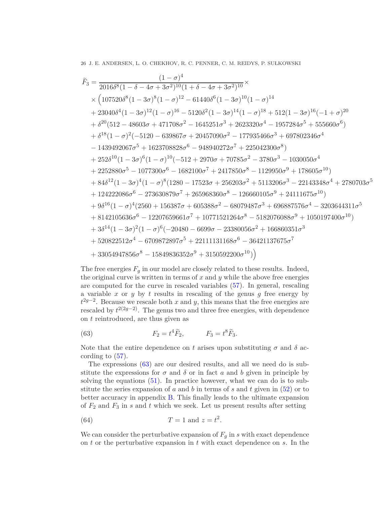26 J. E. ANDERSEN, L. O. CHEKHOV, R. C. PENNER, C. M. REIDYS, P. SUŁKOWSKI

$$
\tilde{F}_3 = \frac{(1-\sigma)^4}{2016\delta^8(1-\delta-4\sigma+3\sigma^2)^{10}(1+\delta-4\sigma+3\sigma^2)^{10}} \times \left(107520\delta^8(1-3\sigma)^8(1-\sigma)^{12}-61440\delta^6(1-3\sigma)^{10}(1-\sigma)^{14} \right.\\ \left. + 23040\delta^4(1-3\sigma)^{12}(1-\sigma)^{16}-5120\delta^2(1-3\sigma)^{14}(1-\sigma)^{18}+512(1-3\sigma)^{16}(-1+\sigma)^{20} \right.\\ \left. + \delta^{20}(512-48603\sigma+471708\sigma^2-1645251\sigma^3+2623320\sigma^4-1957284\sigma^5+555660\sigma^6) \right.\\ \left. + \delta^{18}(1-\sigma)^2(-5120-639867\sigma+20457090\sigma^2-177935466\sigma^3+697802346\sigma^4 \right.\\ \left. - 1439492067\sigma^5+1623708828\sigma^6-948940272\sigma^7+225042300\sigma^8) \right.\\ \left. + 252\delta^{10}(1-3\sigma)^6(1-\sigma)^{10}(-512+2970\sigma+70785\sigma^2-3780\sigma^3-1030050\sigma^4 \right.\\ \left. + 2252880\sigma^5-1077300\sigma^6-1682100\sigma^7+2417850\sigma^8-1129950\sigma^9+178605\sigma^{10}) \right.\\ \left. + 84\delta^{12}(1-3\sigma)^4(1-\sigma)^8(1280-17523\sigma+256203\sigma^2+5113206\sigma^3-22143348\sigma^4+2780703\sigma^5 \right.\\ \left. + 124222086\sigma^6-273630879\sigma^7+26598360\sigma^8-126660105\sigma^9+24111675\sigma^{10
$$

The free energies  $F_g$  in our model are closely related to these results. Indeed, the original curve is written in terms of *x* and *y* while the above free energies are computed for the curve in rescaled variables [\(57\)](#page-22-2). In general, rescaling a variable *x* or *y* by *t* results in rescaling of the genus *g* free energy by  $t^{2g-2}$ . Because we rescale both *x* and *y*, this means that the free energies are rescaled by  $t^{2(2g-2)}$ . The genus two and three free energies, with dependence on *t* reintroduced, are thus given as

<span id="page-25-0"></span>(63) 
$$
F_2 = t^4 \widetilde{F}_2, \qquad F_3 = t^8 \widetilde{F}_3.
$$

Note that the entire dependence on *t* arises upon substituting  $\sigma$  and  $\delta$  according to  $(57)$ .

The expressions [\(63\)](#page-25-0) are our desired results, and all we need do is substitute the expressions for  $\sigma$  and  $\delta$  or in fact  $a$  and  $b$  given in principle by solving the equations  $(51)$ . In practice however, what we can do is to substitute the series expansion of  $a$  and  $b$  in terms of  $s$  and  $t$  given in  $(52)$  or to better accuracy in appendix [B.](#page-29-1) This finally leads to the ultimate expansion of  $F_2$  and  $F_3$  in  $s$  and  $t$  which we seek. Let us present results after setting

<span id="page-25-1"></span>(64) 
$$
T = 1 \text{ and } z = t^2.
$$

We can consider the perturbative expansion of  $F_q$  in *s* with exact dependence on *t* or the perturbative expansion in *t* with exact dependence on *s*. In the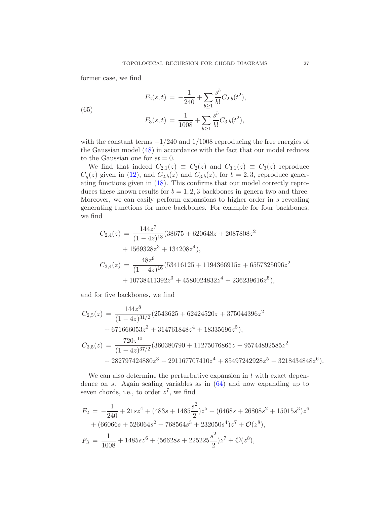former case, we find

(65)  

$$
F_2(s,t) = -\frac{1}{240} + \sum_{b\geq 1} \frac{s^b}{b!} C_{2,b}(t^2),
$$

$$
F_3(s,t) = \frac{1}{1008} + \sum_{b\geq 1} \frac{s^b}{b!} C_{3,b}(t^2),
$$

with the constant terms −1*/*240 and 1*/*1008 reproducing the free energies of the Gaussian model [\(48\)](#page-20-1) in accordance with the fact that our model reduces to the Gaussian one for  $st = 0$ .

We find that indeed  $C_{2,1}(z) \equiv C_2(z)$  and  $C_{3,1}(z) \equiv C_3(z)$  reproduce  $C_g(z)$  given in [\(12\)](#page-9-0), and  $C_{2,b}(z)$  and  $C_{3,b}(z)$ , for  $b=2,3$ , reproduce generating functions given in [\(18\)](#page-12-0). This confirms that our model correctly reproduces these known results for  $b = 1, 2, 3$  backbones in genera two and three. Moreover, we can easily perform expansions to higher order in *s* revealing generating functions for more backbones. For example for four backbones, we find

$$
C_{2,4}(z) = \frac{144z^7}{(1-4z)^{13}} (38675 + 620648z + 2087808z^2
$$
  
+ 1569328z<sup>3</sup> + 134208z<sup>4</sup>),  

$$
C_{3,4}(z) = \frac{48z^9}{(1-4z)^{16}} (53416125 + 1194366915z + 6557325096z^2
$$
  
+ 10738411392z<sup>3</sup> + 4580024832z<sup>4</sup> + 236239616z<sup>5</sup>),

and for five backbones, we find

$$
C_{2,5}(z) = \frac{144z^8}{(1-4z)^{31/2}} (2543625 + 62424520z + 375044396z^2
$$
  
+ 671666053z<sup>3</sup> + 314761848z<sup>4</sup> + 18335696z<sup>5</sup>),  

$$
C_{3,5}(z) = \frac{720z^{10}}{(1-4z)^{37/2}} (360380790 + 11275076865z + 95744892585z^2
$$
  
+ 282797424880z<sup>3</sup> + 291167707410z<sup>4</sup> + 85497242928z<sup>5</sup> + 3218434848z<sup>6</sup>).

We can also determine the perturbative expansion in *t* with exact dependence on *s*. Again scaling variables as in [\(64\)](#page-25-1) and now expanding up to seven chords, i.e., to order *z* 7 , we find

$$
F_2 = -\frac{1}{240} + 21sz^4 + (483s + 1485\frac{s^2}{2})z^5 + (6468s + 26808s^2 + 15015s^3)z^6
$$
  
+  $(66066s + 526064s^2 + 768564s^3 + 232050s^4)z^7 + \mathcal{O}(z^8),$   

$$
F_3 = \frac{1}{1008} + 1485sz^6 + (56628s + 225225\frac{s^2}{2})z^7 + \mathcal{O}(z^8),
$$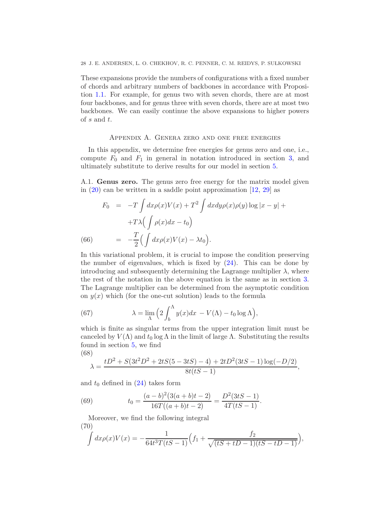These expansions provide the numbers of configurations with a fixed number of chords and arbitrary numbers of backbones in accordance with Proposition [1.1.](#page-6-0) For example, for genus two with seven chords, there are at most four backbones, and for genus three with seven chords, there are at most two backbones. We can easily continue the above expansions to higher powers of *s* and *t*.

## Appendix A. Genera zero and one free energies

<span id="page-27-0"></span>In this appendix, we determine free energies for genus zero and one, i.e., compute  $F_0$  and  $F_1$  in general in notation introduced in section [3,](#page-15-0) and ultimately substitute to derive results for our model in section [5.](#page-20-0)

A.1. **Genus zero.** The genus zero free energy for the matrix model given in [\(20\)](#page-15-1) can be written in a saddle point approximation [\[12,](#page-32-12) [29\]](#page-33-6) as

<span id="page-27-4"></span>
$$
F_0 = -T \int dx \rho(x) V(x) + T^2 \int dx dy \rho(x) \rho(y) \log |x - y| +
$$

$$
+T\lambda \Big( \int \rho(x) dx - t_0 \Big)
$$
  
(66) 
$$
= -\frac{T}{2} \Big( \int dx \rho(x) V(x) - \lambda t_0 \Big).
$$

In this variational problem, it is crucial to impose the condition preserving the number of eigenvalues, which is fixed by  $(24)$ . This can be done by introducing and subsequently determining the Lagrange multiplier  $\lambda$ , where the rest of the notation in the above equation is the same as in section [3.](#page-15-0) The Lagrange multiplier can be determined from the asymptotic condition on  $y(x)$  which (for the one-cut solution) leads to the formula

(67) 
$$
\lambda = \lim_{\Lambda} \left( 2 \int_b^{\Lambda} y(x) dx - V(\Lambda) - t_0 \log \Lambda \right),
$$

which is finite as singular terms from the upper integration limit must be canceled by  $V(\Lambda)$  and  $t_0$  log  $\Lambda$  in the limit of large  $\Lambda$ . Substituting the results found in section [5,](#page-20-0) we find (68)

<span id="page-27-1"></span>
$$
\lambda = \frac{tD^2 + S(3t^2D^2 + 2tS(5 - 3tS) - 4) + 2tD^2(3tS - 1)\log(-D/2)}{8t(tS - 1)},
$$

and  $t_0$  defined in  $(24)$  takes form

<span id="page-27-2"></span>(69) 
$$
t_0 = \frac{(a-b)^2(3(a+b)t-2)}{16T((a+b)t-2)} = \frac{D^2(3tS-1)}{4T(tS-1)}.
$$

Moreover, we find the following integral (70)

<span id="page-27-3"></span>
$$
\int dx \rho(x) V(x) = -\frac{1}{64t^3 T(tS-1)} \Big( f_1 + \frac{f_2}{\sqrt{(tS+tD-1)(tS-tD-1)}} \Big),
$$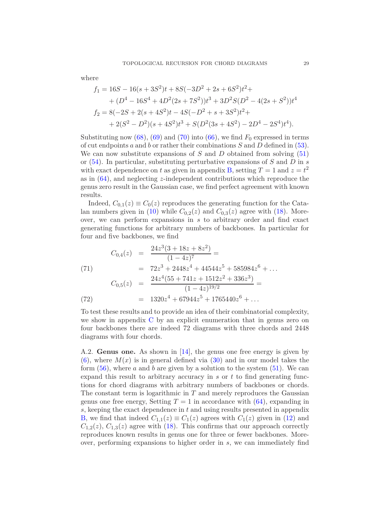where

$$
f_1 = 16S - 16(s + 3S^2)t + 8S(-3D^2 + 2s + 6S^2)t^2 +
$$
  
+ 
$$
(D^4 - 16S^4 + 4D^2(2s + 7S^2))t^3 + 3D^2S(D^2 - 4(2s + S^2))t^4
$$
  

$$
f_2 = 8(-2S + 2(s + 4S^2)t - 4S(-D^2 + s + 3S^2)t^2 +
$$
  
+ 
$$
2(S^2 - D^2)(s + 4S^2)t^3 + S(D^2(3s + 4S^2) - 2D^4 - 2S^4)t^4).
$$

Substituting now  $(68)$ ,  $(69)$  and  $(70)$  into  $(66)$ , we find  $F_0$  expressed in terms of cut endpoints *a* and *b* or rather their combinations *S* and *D* defined in [\(53\)](#page-21-4). We can now substitute expansions of  $S$  and  $D$  obtained from solving  $(51)$ or [\(54\)](#page-21-3). In particular, substituting perturbative expansions of *S* and *D* in *s* with exact dependence on *t* as given in appendix [B,](#page-29-1) setting  $T = 1$  and  $z = t^2$ as in [\(64\)](#page-25-1), and neglecting *z*-independent contributions which reproduce the genus zero result in the Gaussian case, we find perfect agreement with known results.

Indeed,  $C_{0,1}(z) \equiv C_0(z)$  reproduces the generating function for the Cata-lan numbers given in [\(10\)](#page-7-0) while  $C_{0,2}(z)$  and  $C_{0,3}(z)$  agree with [\(18\)](#page-12-0). Moreover, we can perform expansions in *s* to arbitrary order and find exact generating functions for arbitrary numbers of backbones. In particular for four and five backbones, we find

(71)  
\n
$$
C_{0,4}(z) = \frac{24z^3(3+18z+8z^2)}{(1-4z)^7} =
$$
\n
$$
= 72z^3 + 2448z^4 + 44544z^5 + 585984z^6 + \dots
$$
\n
$$
C_{0,5}(z) = \frac{24z^4(55+741z+1512z^2+336z^3)}{(1-4z)^{19/2}} =
$$
\n(72)  
\n
$$
= 1320z^4 + 67944z^5 + 1765440z^6 + \dots
$$

To test these results and to provide an idea of their combinatorial complexity, we show in appendix [C](#page-29-0) by an explicit enumeration that in genus zero on four backbones there are indeed 72 diagrams with three chords and 2448 diagrams with four chords.

A.2. **Genus one.** As shown in [\[14\]](#page-32-14), the genus one free energy is given by  $(6)$ , where  $M(x)$  is in general defined via  $(30)$  and in our model takes the form [\(56\)](#page-22-3), where *a* and *b* are given by a solution to the system [\(51\)](#page-21-0). We can expand this result to arbitrary accuracy in *s* or *t* to find generating functions for chord diagrams with arbitrary numbers of backbones or chords. The constant term is logarithmic in *T* and merely reproduces the Gaussian genus one free energy, Setting  $T = 1$  in accordance with  $(64)$ , expanding in *s*, keeping the exact dependence in *t* and using results presented in appendix [B,](#page-29-1) we find that indeed  $C_{1,1}(z) \equiv C_1(z)$  agrees with  $C_1(z)$  given in [\(12\)](#page-9-0) and  $C_{1,2}(z)$ ,  $C_{1,3}(z)$  agree with [\(18\)](#page-12-0). This confirms that our approach correctly reproduces known results in genus one for three or fewer backbones. Moreover, performing expansions to higher order in *s*, we can immediately find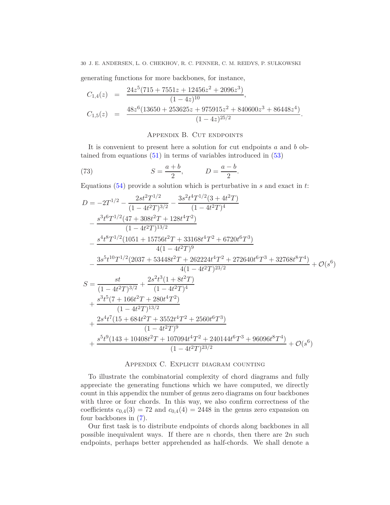30 J. E. ANDERSEN, L. O. CHEKHOV, R. C. PENNER, C. M. REIDYS, P. SUŁKOWSKI

generating functions for more backbones, for instance,

$$
C_{1,4}(z) = \frac{24z^5(715+7551z+12456z^2+2096z^3)}{(1-4z)^{10}},
$$
  
\n
$$
C_{1,5}(z) = \frac{48z^6(13650+253625z+975915z^2+840600z^3+86448z^4)}{(1-4z)^{25/2}}.
$$

# APPENDIX B. CUT ENDPOINTS

<span id="page-29-1"></span>It is convenient to present here a solution for cut endpoints *a* and *b* obtained from equations [\(51\)](#page-21-0) in terms of variables introduced in [\(53\)](#page-21-4)

(73) 
$$
S = \frac{a+b}{2}, \qquad D = \frac{a-b}{2}
$$

Equations [\(54\)](#page-21-3) provide a solution which is perturbative in *s* and exact in *t*:

*.*

$$
D = -2T^{1/2} - \frac{2st^2T^{1/2}}{(1-4t^2T)^{3/2}} - \frac{3s^2t^4T^{1/2}(3+4t^2T)}{(1-4t^2T)^4} - \frac{s^3t^6T^{1/2}(47+308t^2T+128t^4T^2)}{(1-4t^2T)^{13/2}} - \frac{s^4t^8T^{1/2}(1051+15756t^2T+33168t^4T^2+6720t^6T^3)}{4(1-4t^2T)^9} - \frac{3s^5t^{10}T^{1/2}(2037+53448t^2T+262224t^4T^2+272640t^6T^3+32768t^8T^4)}{4(1-4t^2T)^{23/2}} + \mathcal{O}(s^6) S = \frac{st}{(1-4t^2T)^{3/2}} + \frac{2s^2t^3(1+8t^2T)}{(1-4t^2T)^4} + \frac{s^3t^5(7+166t^2T+280t^4T^2)}{(1-4t^2T)^{13/2}} + \frac{2s^4t^7(15+684t^2T+3552t^4T^2+2560t^6T^3)}{(1-4t^2T)^9} + \frac{s^5t^9(143+10408t^2T+107094t^4T^2+240144t^6T^3+96096t^8T^4)}{(1-4t^2T)^{23/2}} + \mathcal{O}(s^6)
$$

# Appendix C. Explicit diagram counting

<span id="page-29-0"></span>To illustrate the combinatorial complexity of chord diagrams and fully appreciate the generating functions which we have computed, we directly count in this appendix the number of genus zero diagrams on four backbones with three or four chords. In this way, we also confirm correctness of the coefficients  $c_{0,4}(3) = 72$  and  $c_{0,4}(4) = 2448$  in the genus zero expansion on four backbones in [\(7\)](#page-3-0).

Our first task is to distribute endpoints of chords along backbones in all possible inequivalent ways. If there are *n* chords, then there are 2*n* such endpoints, perhaps better apprehended as half-chords. We shall denote a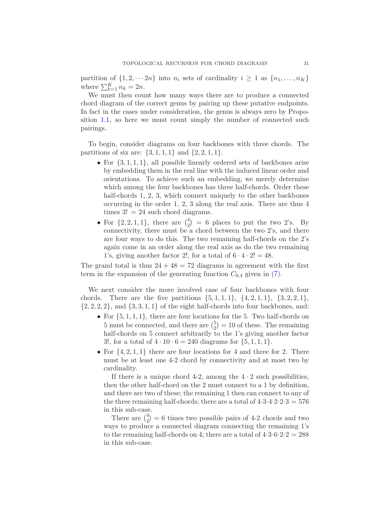partition of  $\{1, 2, \dots 2n\}$  into  $n_i$  sets of cardinality  $i \geq 1$  as  $\{n_1, \dots, n_K\}$ where  $\sum_{k=1}^{K} n_k = 2n$ .

We must then count how many ways there are to produce a connected chord diagram of the correct genus by pairing up these putative endpoints. In fact in the cases under consideration, the genus is always zero by Proposition [1.1,](#page-6-0) so here we must count simply the number of connected such pairings.

To begin, consider diagrams on four backbones with three chords. The partitions of six are:  $\{3, 1, 1, 1\}$  and  $\{2, 2, 1, 1\}$ .

- For  $\{3, 1, 1, 1\}$ , all possible linearly ordered sets of backbones arise by embedding them in the real line with the induced linear order and orientations. To achieve such an embedding, we merely determine which among the four backbones has three half-chords. Order these half-chords 1, 2, 3, which connect uniquely to the other backbones occurring in the order 1, 2, 3 along the real axis. There are thus 4 times  $3! = 24$  such chord diagrams.
- For  $\{2, 2, 1, 1\}$ , there are  $\binom{4}{2}$  $_2^4$  = 6 places to put the two 2's. By connectivity, there must be a chord between the two 2's, and there are four ways to do this. The two remaining half-chords on the 2's again come in an order along the real axis as do the two remaining 1's, giving another factor 2!, for a total of  $6 \cdot 4 \cdot 2! = 48$ .

The grand total is thus  $24 + 48 = 72$  diagrams in agreement with the first term in the expansion of the generating function  $C_{0,4}$  given in  $(7)$ .

We next consider the more involved case of four backbones with four chords. There are the five partitions  $\{5, 1, 1, 1\}$ ,  $\{4, 2, 1, 1\}$ ,  $\{3, 2, 2, 1\}$ ,  $\{2, 2, 2, 2\}$ , and  $\{3, 3, 1, 1\}$  of the eight half-chords into four backbones, and:

- For  $\{5, 1, 1, 1\}$ , there are four locations for the 5. Two half-chords on 5 must be connected, and there are  $\binom{5}{2}$  $_{2}^{5}$ ) = 10 of these. The remaining half-chords on 5 connect arbitrarily to the 1's giving another factor 3!, for a total of  $4 \cdot 10 \cdot 6 = 240$  diagrams for  $\{5, 1, 1, 1\}$ .
- For {4*,* 2*,* 1*,* 1} there are four locations for 4 and three for 2. There must be at least one 4-2 chord by connectivity and at most two by cardinality.

If there is a unique chord 4-2, among the  $4 \cdot 2$  such possibilities, then the other half-chord on the 2 must connect to a 1 by definition, and there are two of these; the remaining 1 then can connect to any of the three remaining half-chords; there are a total of  $4.3.4.2.2.3 = 576$ in this sub-case.

There are  $\binom{4}{2} = 6$  times two possible pairs of 4-2 chords and two ways to produce a connected diagram connecting the remaining 1's to the remaining half-chords on 4; there are a total of  $4.3.6.2.2 = 288$ in this sub-case.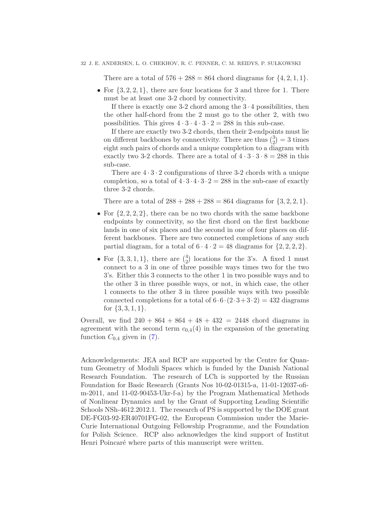There are a total of  $576 + 288 = 864$  chord diagrams for  $\{4, 2, 1, 1\}$ .

• For  $\{3, 2, 2, 1\}$ , there are four locations for 3 and three for 1. There must be at least one 3-2 chord by connectivity.

If there is exactly one 3-2 chord among the  $3 \cdot 4$  possibilities, then the other half-chord from the 2 must go to the other 2, with two possibilities. This gives  $4 \cdot 3 \cdot 4 \cdot 3 \cdot 2 = 288$  in this sub-case.

If there are exactly two 3-2 chords, then their 2-endpoints must lie on different backbones by connectivity. There are thus  $\binom{3}{2} = 3$  times eight such pairs of chords and a unique completion to a diagram with exactly two 3-2 chords. There are a total of  $4 \cdot 3 \cdot 3 \cdot 8 = 288$  in this sub-case.

There are  $4 \cdot 3 \cdot 2$  configurations of three 3-2 chords with a unique completion, so a total of  $4 \cdot 3 \cdot 4 \cdot 3 \cdot 2 = 288$  in the sub-case of exactly three 3-2 chords.

There are a total of  $288 + 288 + 288 = 864$  diagrams for  $\{3, 2, 2, 1\}$ .

- For  $\{2, 2, 2, 2\}$ , there can be no two chords with the same backbone endpoints by connectivity, so the first chord on the first backbone lands in one of six places and the second in one of four places on different backbones. There are two connected completions of any such partial diagram, for a total of  $6 \cdot 4 \cdot 2 = 48$  diagrams for  $\{2, 2, 2, 2\}$ .
- For  $\{3, 3, 1, 1\}$ , there are  $\binom{4}{2}$  $_{2}^{4}$ ) locations for the 3's. A fixed 1 must connect to a 3 in one of three possible ways times two for the two 3's. Either this 3 connects to the other 1 in two possible ways and to the other 3 in three possible ways, or not, in which case, the other 1 connects to the other 3 in three possible ways with two possible connected completions for a total of  $6.6 \cdot (2.3 + 3.2) = 432$  diagrams for  $\{3, 3, 1, 1\}.$

Overall, we find  $240 + 864 + 864 + 48 + 432 = 2448$  chord diagrams in agreement with the second term  $c_{0,4}(4)$  in the expansion of the generating function  $C_{0,4}$  given in [\(7\)](#page-3-0).

Acknowledgements: JEA and RCP are supported by the Centre for Quantum Geometry of Moduli Spaces which is funded by the Danish National Research Foundation. The research of LCh is supported by the Russian Foundation for Basic Research (Grants Nos 10-02-01315-a, 11-01-12037-ofim-2011, and 11-02-90453-Ukr-f-a) by the Program Mathematical Methods of Nonlinear Dynamics and by the Grant of Supporting Leading Scientific Schools NSh-4612.2012.1. The research of PS is supported by the DOE grant DE-FG03-92-ER40701FG-02, the European Commission under the Marie-Curie International Outgoing Fellowship Programme, and the Foundation for Polish Science. RCP also acknowledges the kind support of Institut Henri Poincaré where parts of this manuscript were written.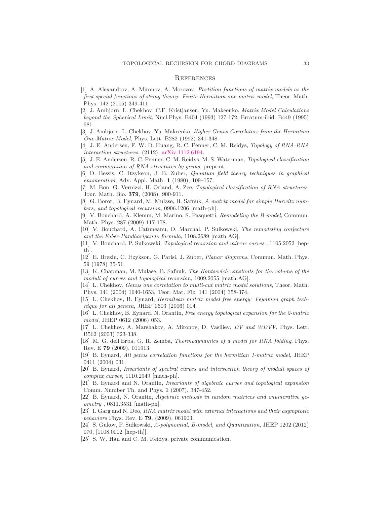#### **REFERENCES**

- <span id="page-32-23"></span>[1] A. Alexandrov, A. Mironov, A. Morozov, *Partition functions of matrix models as the first special functions of string theory: Finite Hermitian one-matrix model*, Theor. Math. Phys. 142 (2005) 349-411.
- <span id="page-32-21"></span>[2] J. Ambjorn, L. Chekhov, C.F. Kristjansen, Yu. Makeenko, *Matrix Model Calculations beyond the Spherical Limit*, Nucl.Phys. B404 (1993) 127-172; Erratum-ibid. B449 (1995) 681.
- <span id="page-32-13"></span>[3] J. Ambjorn, L. Chekhov, Yu. Makeenko, *Higher Genus Correlators from the Hermitian One-Matrix Model*, Phys. Lett. B282 (1992) 341-348.
- <span id="page-32-18"></span>[4] J. E. Andersen, F. W. D. Huang, R. C. Penner, C. M. Reidys, *Topology of RNA-RNA interaction structures*, (2112), [arXiv:1112.6194.](http://arxiv.org/abs/1112.6194)
- <span id="page-32-19"></span>[5] J. E. Andersen, R. C. Penner, C. M. Reidys, M. S. Waterman, *Topological classification and enumeration of RNA structures by genus*, preprint.
- <span id="page-32-4"></span>[6] D. Bessis, C. Itzykson, J. B. Zuber, *Quantum field theory techniques in graphical enumeration*, Adv. Appl. Math. **1** (1980), 109–157.
- <span id="page-32-15"></span>[7] M. Bon, G. Vernizzi, H. Orland, A. Zee, *Topological classification of RNA structures*, Jour. Math. Bio. **379**, (2008), 900-911.
- <span id="page-32-5"></span>[8] G. Borot, B. Eynard, M. Mulase, B. Safnuk, *A matrix model for simple Hurwitz numbers, and topological recursion*, 0906.1206 [math-ph].
- <span id="page-32-6"></span>[9] V. Bouchard, A. Klemm, M. Marino, S. Pasquetti, *Remodeling the B-model*, Commun. Math. Phys. 287 (2009) 117-178.
- <span id="page-32-7"></span>[10] V. Bouchard, A. Catuneanu, O. Marchal, P. Su lkowski, *The remodeling conjecture and the Faber-Pandharipande formula*, 1108.2689 [math.AG].
- <span id="page-32-8"></span>[11] V. Bouchard, P. Sułkowski, *Topological recursion and mirror curves*, 1105.2052 [hepth].
- <span id="page-32-12"></span>[12] E. Brezin, C. Itzykson, G. Parisi, J. Zuber, *Planar diagrams*, Commun. Math. Phys. 59 (1978) 35-51.
- <span id="page-32-9"></span>[13] K. Chapman, M. Mulase, B. Safnuk, *The Kontsevich constants for the volume of the moduli of curves and topological recursion*, 1009.2055 [math.AG].
- <span id="page-32-14"></span>[14] L. Chekhov, *Genus one correlation to multi-cut matrix model solutions*, Theor. Math. Phys. 141 (2004) 1640-1653, Teor. Mat. Fiz. 141 (2004) 358-374.
- <span id="page-32-0"></span>[15] L. Chekhov, B. Eynard, *Hermitean matrix model free energy: Feynman graph technique for all genera*, JHEP 0603 (2006) 014.
- <span id="page-32-1"></span>[16] L. Chekhov, B. Eynard, N. Orantin, *Free energy topological expansion for the 2-matrix model*, JHEP 0612 (2006) 053.
- <span id="page-32-24"></span>[17] L. Chekhov, A. Marshakov, A. Mironov, D. Vasiliev, *DV and WDVV*, Phys. Lett. B562 (2003) 323-338.
- <span id="page-32-17"></span>[18] M. G. dell'Erba, G. R. Zemba, *Thermodynamics of a model for RNA folding*, Phys. Rev. E **79** (2009), 011913.
- <span id="page-32-22"></span>[19] B. Eynard, *All genus correlation functions for the hermitian 1-matrix model*, JHEP 0411 (2004) 031.
- <span id="page-32-10"></span>[20] B. Eynard, *Invariants of spectral curves and intersection theory of moduli spaces of complex curves*, 1110.2949 [math-ph].
- <span id="page-32-2"></span>[21] B. Eynard and N. Orantin, *Invariants of algebraic curves and topological expansion* Comm. Number Th. and Phys. **1** (2007), 347-452.
- <span id="page-32-11"></span>[22] B. Eynard, N. Orantin, *Algebraic methods in random matrices and enumerative geometry* , 0811.3531 [math-ph].
- <span id="page-32-16"></span>[23] I. Garg and N. Deo, *RNA matrix model with external interactions and their asymptotic behaviors* Phys. Rev. E **79**, (2009), 061903.
- <span id="page-32-3"></span>[24] S. Gukov, P. Su lkowski, *A-polynomial, B-model, and Quantization*, JHEP 1202 (2012) 070, [1108.0002 [hep-th]].
- <span id="page-32-20"></span>[25] S. W. Han and C. M. Reidys, private communication.